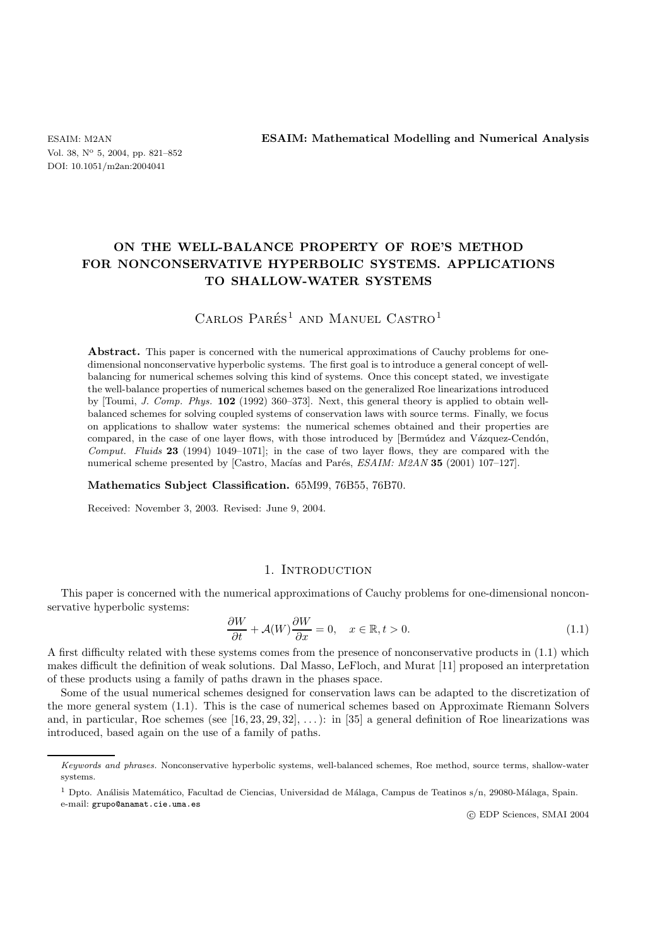Vol. 38, N<sup>o</sup> 5, 2004, pp. 821–852 DOI: 10.1051/m2an:2004041

ESAIM: M2AN **ESAIM: Mathematical Modelling and Numerical Analysis**

# **ON THE WELL-BALANCE PROPERTY OF ROE'S METHOD FOR NONCONSERVATIVE HYPERBOLIC SYSTEMS. APPLICATIONS TO SHALLOW-WATER SYSTEMS**

# CARLOS PARÉS<sup>1</sup> AND MANUEL CASTRO<sup>1</sup>

Abstract. This paper is concerned with the numerical approximations of Cauchy problems for onedimensional nonconservative hyperbolic systems. The first goal is to introduce a general concept of wellbalancing for numerical schemes solving this kind of systems. Once this concept stated, we investigate the well-balance properties of numerical schemes based on the generalized Roe linearizations introduced by [Toumi, *J. Comp. Phys.* **102** (1992) 360–373]. Next, this general theory is applied to obtain wellbalanced schemes for solving coupled systems of conservation laws with source terms. Finally, we focus on applications to shallow water systems: the numerical schemes obtained and their properties are compared, in the case of one layer flows, with those introduced by [Bermidez and Vázquez-Cendón, *Comput. Fluids* **23** (1994) 1049–1071]; in the case of two layer flows, they are compared with the numerical scheme presented by [Castro, Macías and Parés, *ESAIM: M2AN* 35 (2001) 107-127].

**Mathematics Subject Classification.** 65M99, 76B55, 76B70.

Received: November 3, 2003. Revised: June 9, 2004.

#### 1. Introduction

This paper is concerned with the numerical approximations of Cauchy problems for one-dimensional nonconservative hyperbolic systems:

$$
\frac{\partial W}{\partial t} + \mathcal{A}(W)\frac{\partial W}{\partial x} = 0, \quad x \in \mathbb{R}, t > 0.
$$
\n(1.1)

A first difficulty related with these systems comes from the presence of nonconservative products in (1.1) which makes difficult the definition of weak solutions. Dal Masso, LeFloch, and Murat [11] proposed an interpretation of these products using a family of paths drawn in the phases space.

Some of the usual numerical schemes designed for conservation laws can be adapted to the discretization of the more general system (1.1). This is the case of numerical schemes based on Approximate Riemann Solvers and, in particular, Roe schemes (see  $[16, 23, 29, 32], \ldots$ ): in [35] a general definition of Roe linearizations was introduced, based again on the use of a family of paths.

c EDP Sciences, SMAI 2004

Keywords and phrases. Nonconservative hyperbolic systems, well-balanced schemes, Roe method, source terms, shallow-water systems.

<sup>&</sup>lt;sup>1</sup> Dpto. Análisis Matemático, Facultad de Ciencias, Universidad de Málaga, Campus de Teatinos s/n, 29080-Málaga, Spain. e-mail: grupo@anamat.cie.uma.es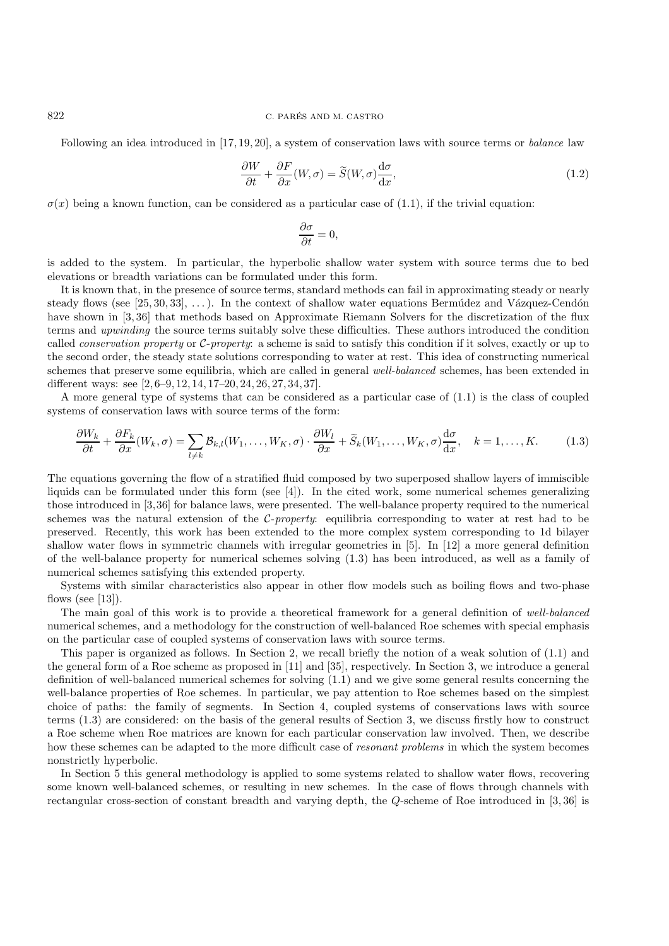#### 822 C. PARES AND M. CASTRO ´

Following an idea introduced in [17, 19, 20], a system of conservation laws with source terms or *balance* law

$$
\frac{\partial W}{\partial t} + \frac{\partial F}{\partial x}(W,\sigma) = \widetilde{S}(W,\sigma)\frac{d\sigma}{dx},\tag{1.2}
$$

 $\sigma(x)$  being a known function, can be considered as a particular case of (1.1), if the trivial equation:

$$
\frac{\partial \sigma}{\partial t} = 0,
$$

is added to the system. In particular, the hyperbolic shallow water system with source terms due to bed elevations or breadth variations can be formulated under this form.

It is known that, in the presence of source terms, standard methods can fail in approximating steady or nearly steady flows (see  $[25, 30, 33], \ldots$ ). In the context of shallow water equations Bermidez and Vázquez-Cendón have shown in [3, 36] that methods based on Approximate Riemann Solvers for the discretization of the flux terms and *upwinding* the source terms suitably solve these difficulties. These authors introduced the condition called *conservation property* or C-*property*: a scheme is said to satisfy this condition if it solves, exactly or up to the second order, the steady state solutions corresponding to water at rest. This idea of constructing numerical schemes that preserve some equilibria, which are called in general *well-balanced* schemes, has been extended in different ways: see [2, 6–9, 12, 14, 17–20, 24, 26, 27, 34, 37].

A more general type of systems that can be considered as a particular case of (1.1) is the class of coupled systems of conservation laws with source terms of the form:

$$
\frac{\partial W_k}{\partial t} + \frac{\partial F_k}{\partial x}(W_k, \sigma) = \sum_{l \neq k} \mathcal{B}_{k,l}(W_1, \dots, W_K, \sigma) \cdot \frac{\partial W_l}{\partial x} + \widetilde{S}_k(W_1, \dots, W_K, \sigma) \frac{d\sigma}{dx}, \quad k = 1, \dots, K. \tag{1.3}
$$

The equations governing the flow of a stratified fluid composed by two superposed shallow layers of immiscible liquids can be formulated under this form (see [4]). In the cited work, some numerical schemes generalizing those introduced in [3,36] for balance laws, were presented. The well-balance property required to the numerical schemes was the natural extension of the C-*property*: equilibria corresponding to water at rest had to be preserved. Recently, this work has been extended to the more complex system corresponding to 1d bilayer shallow water flows in symmetric channels with irregular geometries in [5]. In [12] a more general definition of the well-balance property for numerical schemes solving (1.3) has been introduced, as well as a family of numerical schemes satisfying this extended property.

Systems with similar characteristics also appear in other flow models such as boiling flows and two-phase flows (see  $[13]$ ).

The main goal of this work is to provide a theoretical framework for a general definition of *well-balanced* numerical schemes, and a methodology for the construction of well-balanced Roe schemes with special emphasis on the particular case of coupled systems of conservation laws with source terms.

This paper is organized as follows. In Section 2, we recall briefly the notion of a weak solution of (1.1) and the general form of a Roe scheme as proposed in [11] and [35], respectively. In Section 3, we introduce a general definition of well-balanced numerical schemes for solving (1.1) and we give some general results concerning the well-balance properties of Roe schemes. In particular, we pay attention to Roe schemes based on the simplest choice of paths: the family of segments. In Section 4, coupled systems of conservations laws with source terms (1.3) are considered: on the basis of the general results of Section 3, we discuss firstly how to construct a Roe scheme when Roe matrices are known for each particular conservation law involved. Then, we describe how these schemes can be adapted to the more difficult case of *resonant problems* in which the system becomes nonstrictly hyperbolic.

In Section 5 this general methodology is applied to some systems related to shallow water flows, recovering some known well-balanced schemes, or resulting in new schemes. In the case of flows through channels with rectangular cross-section of constant breadth and varying depth, the Q-scheme of Roe introduced in [3, 36] is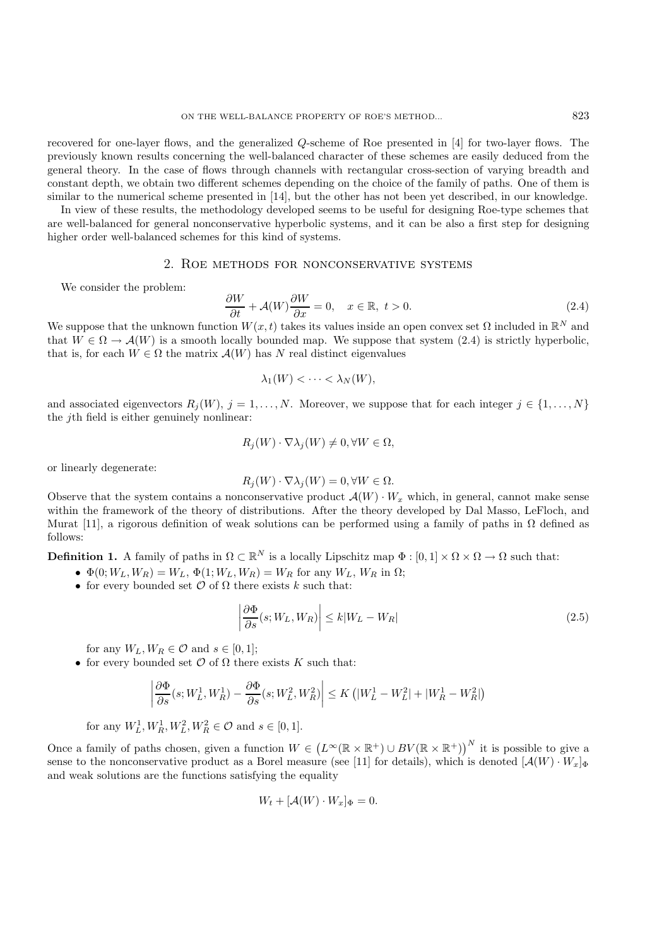recovered for one-layer flows, and the generalized Q-scheme of Roe presented in [4] for two-layer flows. The previously known results concerning the well-balanced character of these schemes are easily deduced from the general theory. In the case of flows through channels with rectangular cross-section of varying breadth and constant depth, we obtain two different schemes depending on the choice of the family of paths. One of them is similar to the numerical scheme presented in [14], but the other has not been yet described, in our knowledge.

In view of these results, the methodology developed seems to be useful for designing Roe-type schemes that are well-balanced for general nonconservative hyperbolic systems, and it can be also a first step for designing higher order well-balanced schemes for this kind of systems.

## 2. Roe methods for nonconservative systems

We consider the problem:

$$
\frac{\partial W}{\partial t} + \mathcal{A}(W)\frac{\partial W}{\partial x} = 0, \quad x \in \mathbb{R}, \ t > 0.
$$
 (2.4)

We suppose that the unknown function  $W(x, t)$  takes its values inside an open convex set  $\Omega$  included in  $\mathbb{R}^N$  and that  $W \in \Omega \to \mathcal{A}(W)$  is a smooth locally bounded map. We suppose that system (2.4) is strictly hyperbolic. that is, for each  $W \in \Omega$  the matrix  $\mathcal{A}(W)$  has N real distinct eigenvalues

$$
\lambda_1(W) < \cdots < \lambda_N(W),
$$

and associated eigenvectors  $R_j(W)$ ,  $j = 1, ..., N$ . Moreover, we suppose that for each integer  $j \in \{1, ..., N\}$ the jth field is either genuinely nonlinear:

$$
R_j(W) \cdot \nabla \lambda_j(W) \neq 0, \forall W \in \Omega,
$$

or linearly degenerate:

$$
R_j(W) \cdot \nabla \lambda_j(W) = 0, \forall W \in \Omega.
$$

Observe that the system contains a nonconservative product  $\mathcal{A}(W) \cdot W_x$  which, in general, cannot make sense within the framework of the theory of distributions. After the theory developed by Dal Masso, LeFloch, and Murat [11], a rigorous definition of weak solutions can be performed using a family of paths in  $Ω$  defined as follows:

**Definition 1.** A family of paths in  $\Omega \subset \mathbb{R}^N$  is a locally Lipschitz map  $\Phi : [0,1] \times \Omega \times \Omega \to \Omega$  such that:

- $\Phi(0;W_L,W_R) = W_L$ ,  $\Phi(1;W_L,W_R) = W_R$  for any  $W_L$ ,  $W_R$  in  $\Omega$ ;
- for every bounded set  $\mathcal O$  of  $\Omega$  there exists k such that:

$$
\left| \frac{\partial \Phi}{\partial s}(s; W_L, W_R) \right| \le k|W_L - W_R| \tag{2.5}
$$

for any  $W_L, W_R \in \mathcal{O}$  and  $s \in [0, 1]$ ;

• for every bounded set  $\mathcal O$  of  $\Omega$  there exists K such that:

$$
\left|\frac{\partial \Phi}{\partial s}(s;W^1_L,W^1_R)-\frac{\partial \Phi}{\partial s}(s;W^2_L,W^2_R)\right|\leq K\left(|W^1_L-W^2_L|+|W^1_R-W^2_R|\right)
$$

for any  $W_L^1, W_R^1, W_L^2, W_R^2 \in \mathcal{O}$  and  $s \in [0, 1]$ .

Once a family of paths chosen, given a function  $W \in (L^{\infty}(\mathbb{R} \times \mathbb{R}^+) \cup BV(\mathbb{R} \times \mathbb{R}^+))^{N}$  it is possible to give a sense to the nonconservative product as a Borel measure (see [11] for details), which is denoted  $[\mathcal{A}(W) \cdot W_x]_{\Phi}$ and weak solutions are the functions satisfying the equality

$$
W_t + [\mathcal{A}(W) \cdot W_x]_{\Phi} = 0.
$$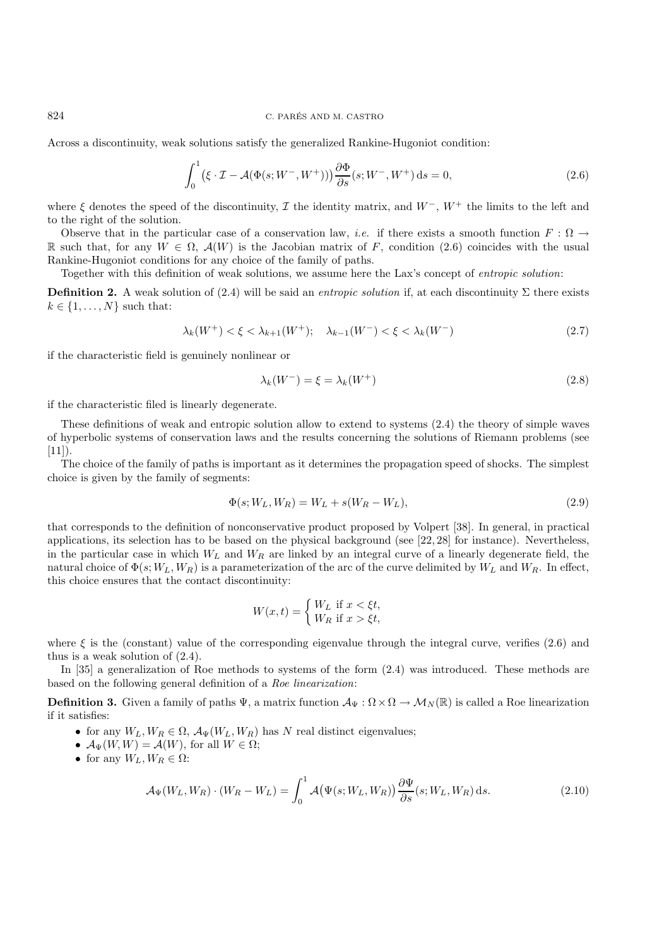#### $824$   $\,$  C. PARÉS AND M. CASTRO  $\,$

Across a discontinuity, weak solutions satisfy the generalized Rankine-Hugoniot condition:

$$
\int_0^1 (\xi \cdot \mathcal{I} - \mathcal{A}(\Phi(s; W^-, W^+))) \frac{\partial \Phi}{\partial s}(s; W^-, W^+) ds = 0,
$$
\n(2.6)

where  $\xi$  denotes the speed of the discontinuity,  $\mathcal I$  the identity matrix, and  $W^-$ ,  $W^+$  the limits to the left and to the right of the solution.

Observe that in the particular case of a conservation law, *i.e.* if there exists a smooth function  $F : \Omega \to$ R such that, for any  $W \in \Omega$ ,  $\mathcal{A}(W)$  is the Jacobian matrix of F, condition (2.6) coincides with the usual Rankine-Hugoniot conditions for any choice of the family of paths.

Together with this definition of weak solutions, we assume here the Lax's concept of *entropic solution*:

**Definition 2.** A weak solution of (2.4) will be said an *entropic solution* if, at each discontinuity Σ there exists  $k \in \{1, \ldots, N\}$  such that:

$$
\lambda_k(W^+) < \xi < \lambda_{k+1}(W^+); \quad \lambda_{k-1}(W^-) < \xi < \lambda_k(W^-) \tag{2.7}
$$

if the characteristic field is genuinely nonlinear or

$$
\lambda_k(W^-) = \xi = \lambda_k(W^+) \tag{2.8}
$$

if the characteristic filed is linearly degenerate.

These definitions of weak and entropic solution allow to extend to systems (2.4) the theory of simple waves of hyperbolic systems of conservation laws and the results concerning the solutions of Riemann problems (see  $[11]$ ).

The choice of the family of paths is important as it determines the propagation speed of shocks. The simplest choice is given by the family of segments:

$$
\Phi(s; W_L, W_R) = W_L + s(W_R - W_L),\tag{2.9}
$$

that corresponds to the definition of nonconservative product proposed by Volpert [38]. In general, in practical applications, its selection has to be based on the physical background (see [22, 28] for instance). Nevertheless, in the particular case in which  $W_L$  and  $W_R$  are linked by an integral curve of a linearly degenerate field, the natural choice of  $\Phi(s; W_L, W_R)$  is a parameterization of the arc of the curve delimited by  $W_L$  and  $W_R$ . In effect, this choice ensures that the contact discontinuity:

$$
W(x,t) = \begin{cases} W_L \text{ if } x < \xi t, \\ W_R \text{ if } x > \xi t, \end{cases}
$$

where  $\xi$  is the (constant) value of the corresponding eigenvalue through the integral curve, verifies (2.6) and thus is a weak solution of (2.4).

In [35] a generalization of Roe methods to systems of the form (2.4) was introduced. These methods are based on the following general definition of a *Roe linearization*:

**Definition 3.** Given a family of paths  $\Psi$ , a matrix function  $\mathcal{A}_{\Psi} : \Omega \times \Omega \to \mathcal{M}_N(\mathbb{R})$  is called a Roe linearization if it satisfies:

- for any  $W_L, W_R \in \Omega$ ,  $\mathcal{A}_{\Psi}(W_L, W_R)$  has N real distinct eigenvalues;
- $\mathcal{A}_{\Psi}(W, W) = \mathcal{A}(W)$ , for all  $W \in \Omega$ ;
- for any  $W_L, W_R \in \Omega$ :

$$
\mathcal{A}_{\Psi}(W_L, W_R) \cdot (W_R - W_L) = \int_0^1 \mathcal{A}(\Psi(s; W_L, W_R)) \frac{\partial \Psi}{\partial s}(s; W_L, W_R) \, ds. \tag{2.10}
$$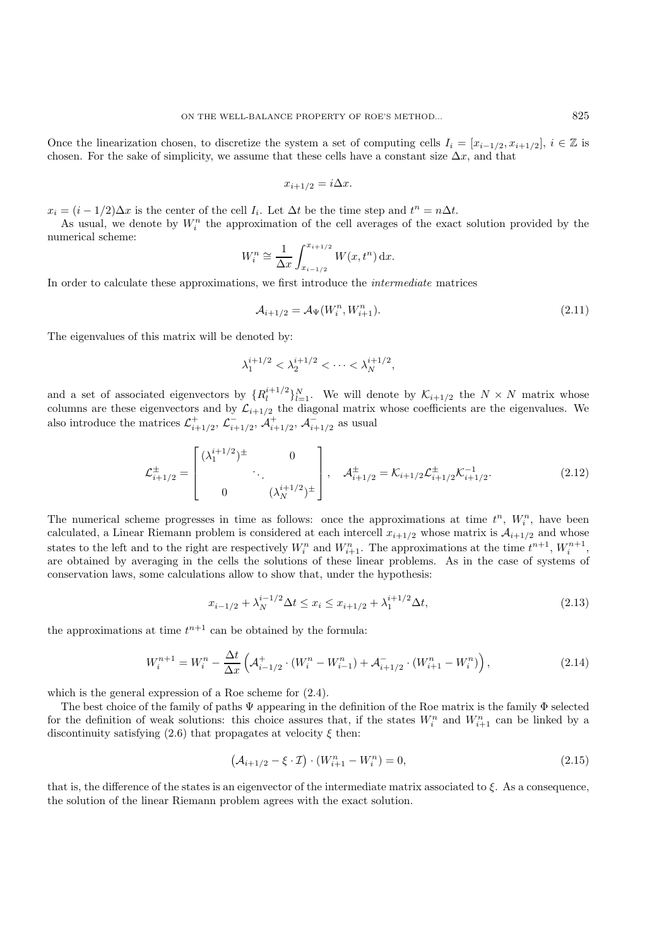Once the linearization chosen, to discretize the system a set of computing cells  $I_i = [x_{i-1/2}, x_{i+1/2}], i \in \mathbb{Z}$  is chosen. For the sake of simplicity, we assume that these cells have a constant size  $\Delta x$ , and that

$$
x_{i+1/2} = i\Delta x.
$$

 $x_i = (i - 1/2)\Delta x$  is the center of the cell  $I_i$ . Let  $\Delta t$  be the time step and  $t^n = n\Delta t$ .

As usual, we denote by  $W_i^n$  the approximation of the cell averages of the exact solution provided by the numerical scheme:

$$
W_i^n \cong \frac{1}{\Delta x} \int_{x_{i-1/2}}^{x_{i+1/2}} W(x, t^n) dx.
$$

In order to calculate these approximations, we first introduce the *intermediate* matrices

$$
\mathcal{A}_{i+1/2} = \mathcal{A}_{\Psi}(W_i^n, W_{i+1}^n). \tag{2.11}
$$

The eigenvalues of this matrix will be denoted by:

$$
\lambda_1^{i+1/2} < \lambda_2^{i+1/2} < \cdots < \lambda_N^{i+1/2},
$$

and a set of associated eigenvectors by  $\{R_l^{i+1/2}\}_{l=1}^N$ . We will denote by  $\mathcal{K}_{i+1/2}$  the  $N \times N$  matrix whose columns are these eigenvectors and by  $\mathcal{L}_{i+1/2}$  the diagonal matrix whose coefficients are the eigenvalues. We also introduce the matrices  $\mathcal{L}^+_{i+1/2}, \, \mathcal{L}^-_{i+1/2}, \, \mathcal{A}^+_{i+1/2}, \, \mathcal{A}^-_{i+1/2}$  as usual

$$
\mathcal{L}_{i+1/2}^{\pm} = \begin{bmatrix} (\lambda_1^{i+1/2})^{\pm} & 0 \\ & \ddots & \\ 0 & (\lambda_N^{i+1/2})^{\pm} \end{bmatrix}, \quad \mathcal{A}_{i+1/2}^{\pm} = \mathcal{K}_{i+1/2} \mathcal{L}_{i+1/2}^{\pm} \mathcal{K}_{i+1/2}^{-1}.
$$
 (2.12)

The numerical scheme progresses in time as follows: once the approximations at time  $t^n$ ,  $W_i^n$ , have been calculated, a Linear Riemann problem is considered at each intercell  $x_{i+1/2}$  whose matrix is  $\mathcal{A}_{i+1/2}$  and whose states to the left and to the right are respectively  $W_i^n$  and  $W_{i+1}^n$ . The approximations at the time  $t^{n+1}$ ,  $W_i^{n+1}$ , are obtained by averaging in the cells the solutions of these linear problems. As in the case of systems of conservation laws, some calculations allow to show that, under the hypothesis:

$$
x_{i-1/2} + \lambda_N^{i-1/2} \Delta t \le x_i \le x_{i+1/2} + \lambda_1^{i+1/2} \Delta t,\tag{2.13}
$$

the approximations at time  $t^{n+1}$  can be obtained by the formula:

$$
W_i^{n+1} = W_i^n - \frac{\Delta t}{\Delta x} \left( \mathcal{A}_{i-1/2}^+ \cdot (W_i^n - W_{i-1}^n) + \mathcal{A}_{i+1/2}^- \cdot (W_{i+1}^n - W_i^n) \right),\tag{2.14}
$$

which is the general expression of a Roe scheme for (2.4).

The best choice of the family of paths Ψ appearing in the definition of the Roe matrix is the family Φ selected for the definition of weak solutions: this choice assures that, if the states  $W_i^n$  and  $W_{i+1}^n$  can be linked by a discontinuity satisfying (2.6) that propagates at velocity  $\xi$  then:

$$
\left(\mathcal{A}_{i+1/2} - \xi \cdot \mathcal{I}\right) \cdot \left(W_{i+1}^n - W_i^n\right) = 0,\tag{2.15}
$$

that is, the difference of the states is an eigenvector of the intermediate matrix associated to  $\xi$ . As a consequence, the solution of the linear Riemann problem agrees with the exact solution.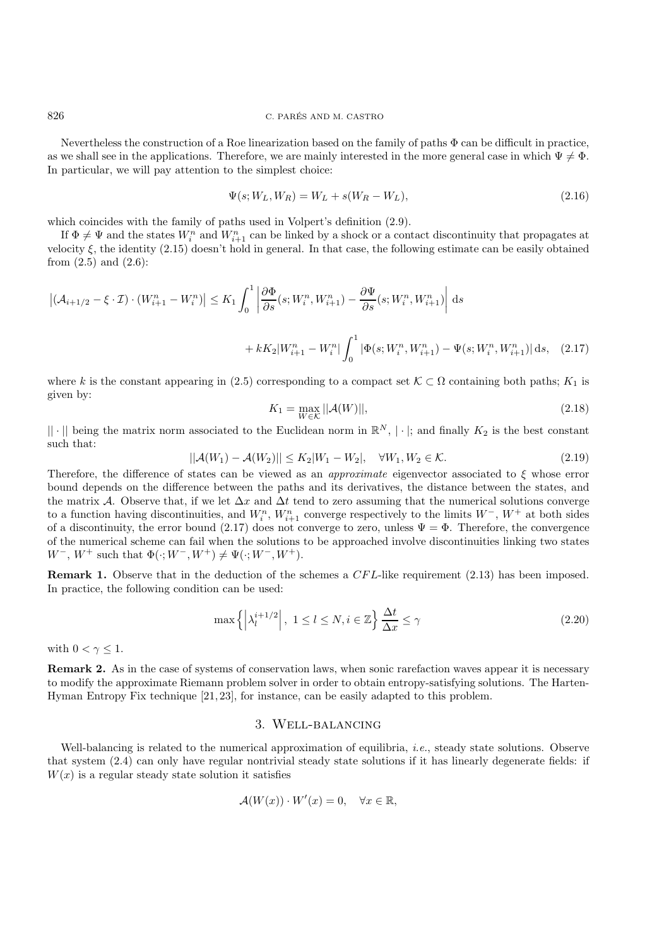Nevertheless the construction of a Roe linearization based on the family of paths  $\Phi$  can be difficult in practice, as we shall see in the applications. Therefore, we are mainly interested in the more general case in which  $\Psi \neq \Phi$ . In particular, we will pay attention to the simplest choice:

$$
\Psi(s; W_L, W_R) = W_L + s(W_R - W_L),\tag{2.16}
$$

which coincides with the family of paths used in Volpert's definition (2.9).

If  $\Phi \neq \Psi$  and the states  $W_i^n$  and  $W_{i+1}^n$  can be linked by a shock or a contact discontinuity that propagates at velocity ξ, the identity (2.15) doesn't hold in general. In that case, the following estimate can be easily obtained from  $(2.5)$  and  $(2.6)$ :

$$
\left| (\mathcal{A}_{i+1/2} - \xi \cdot \mathcal{I}) \cdot (W_{i+1}^n - W_i^n) \right| \le K_1 \int_0^1 \left| \frac{\partial \Phi}{\partial s} (s; W_i^n, W_{i+1}^n) - \frac{\partial \Psi}{\partial s} (s; W_i^n, W_{i+1}^n) \right| ds
$$
  
+  $k K_2 | W_{i+1}^n - W_i^n| \int_0^1 |\Phi(s; W_i^n, W_{i+1}^n) - \Psi(s; W_i^n, W_{i+1}^n)| ds, \quad (2.17)$ 

where k is the constant appearing in (2.5) corresponding to a compact set  $\mathcal{K} \subset \Omega$  containing both paths;  $K_1$  is given by:

$$
K_1 = \max_{W \in \mathcal{K}} ||\mathcal{A}(W)||, \tag{2.18}
$$

 $|| \cdot ||$  being the matrix norm associated to the Euclidean norm in  $\mathbb{R}^N$ ,  $|\cdot|$ ; and finally  $K_2$  is the best constant such that:

$$
||\mathcal{A}(W_1) - \mathcal{A}(W_2)|| \le K_2 |W_1 - W_2|, \quad \forall W_1, W_2 \in \mathcal{K}.
$$
\n(2.19)

Therefore, the difference of states can be viewed as an *approximate* eigenvector associated to ξ whose error bound depends on the difference between the paths and its derivatives, the distance between the states, and the matrix A. Observe that, if we let  $\Delta x$  and  $\Delta t$  tend to zero assuming that the numerical solutions converge to a function having discontinuities, and  $W_i^n$ ,  $W_{i+1}^n$  converge respectively to the limits  $W^-, W^+$  at both sides of a discontinuity, the error bound (2.17) does not converge to zero, unless  $\Psi = \Phi$ . Therefore, the convergence of the numerical scheme can fail when the solutions to be approached involve discontinuities linking two states  $W^-, W^+$  such that  $\Phi(\cdot; W^-, W^+) \neq \Psi(\cdot; W^-, W^+).$ 

**Remark 1.** Observe that in the deduction of the schemes a CFL-like requirement (2.13) has been imposed. In practice, the following condition can be used:

$$
\max\left\{ \left| \lambda_l^{i+1/2} \right|, 1 \le l \le N, i \in \mathbb{Z} \right\} \frac{\Delta t}{\Delta x} \le \gamma \tag{2.20}
$$

with  $0 < \gamma \leq 1$ .

**Remark 2.** As in the case of systems of conservation laws, when sonic rarefaction waves appear it is necessary to modify the approximate Riemann problem solver in order to obtain entropy-satisfying solutions. The Harten-Hyman Entropy Fix technique [21, 23], for instance, can be easily adapted to this problem.

## 3. Well-balancing

Well-balancing is related to the numerical approximation of equilibria, *i.e.*, steady state solutions. Observe that system (2.4) can only have regular nontrivial steady state solutions if it has linearly degenerate fields: if  $W(x)$  is a regular steady state solution it satisfies

$$
\mathcal{A}(W(x)) \cdot W'(x) = 0, \quad \forall x \in \mathbb{R},
$$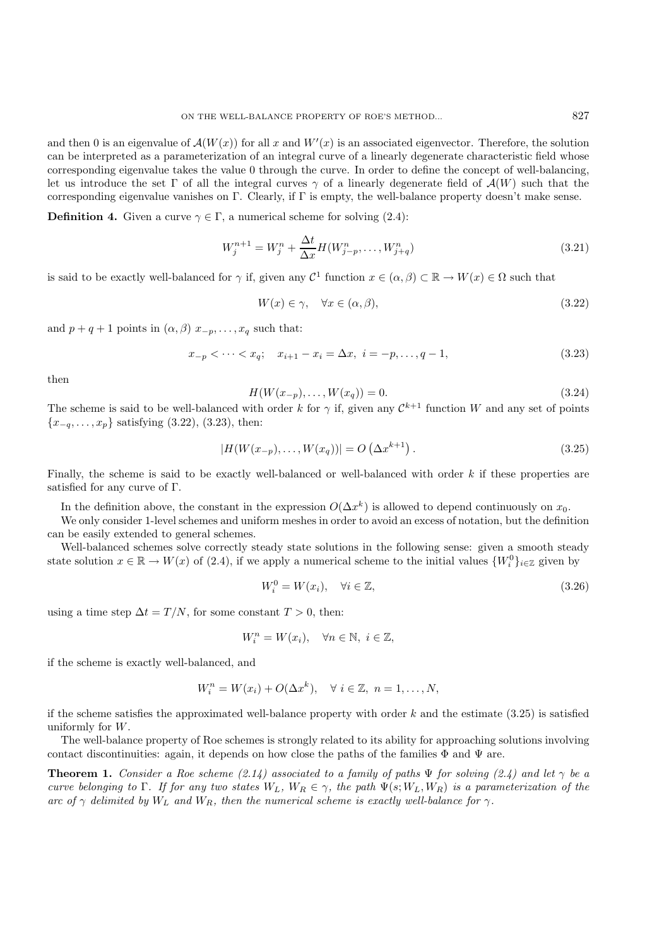and then 0 is an eigenvalue of  $\mathcal{A}(W(x))$  for all x and  $W'(x)$  is an associated eigenvector. Therefore, the solution can be interpreted as a parameterization of an integral curve of a linearly degenerate characteristic field whose corresponding eigenvalue takes the value 0 through the curve. In order to define the concept of well-balancing, let us introduce the set Γ of all the integral curves  $\gamma$  of a linearly degenerate field of  $\mathcal{A}(W)$  such that the corresponding eigenvalue vanishes on Γ. Clearly, if Γ is empty, the well-balance property doesn't make sense.

**Definition 4.** Given a curve  $\gamma \in \Gamma$ , a numerical scheme for solving (2.4):

$$
W_j^{n+1} = W_j^n + \frac{\Delta t}{\Delta x} H(W_{j-p}^n, \dots, W_{j+q}^n)
$$
\n(3.21)

is said to be exactly well-balanced for  $\gamma$  if, given any  $\mathcal{C}^1$  function  $x \in (\alpha, \beta) \subset \mathbb{R} \to W(x) \in \Omega$  such that

$$
W(x) \in \gamma, \quad \forall x \in (\alpha, \beta), \tag{3.22}
$$

and  $p + q + 1$  points in  $(\alpha, \beta)$   $x_{-p}, \ldots, x_q$  such that:

$$
x_{-p} < \dots < x_q; \quad x_{i+1} - x_i = \Delta x, \quad i = -p, \dots, q-1,
$$
\n
$$
(3.23)
$$

then

$$
H(W(x_{-p}),...,W(x_q)) = 0.
$$
\n(3.24)

The scheme is said to be well-balanced with order k for  $\gamma$  if, given any  $\mathcal{C}^{k+1}$  function W and any set of points  ${x_{-q}, \ldots, x_p}$  satisfying (3.22), (3.23), then:

$$
|H(W(x_{-p}),...,W(x_q))| = O(\Delta x^{k+1}).
$$
\n(3.25)

Finally, the scheme is said to be exactly well-balanced or well-balanced with order  $k$  if these properties are satisfied for any curve of Γ.

In the definition above, the constant in the expression  $O(\Delta x^k)$  is allowed to depend continuously on  $x_0$ .

We only consider 1-level schemes and uniform meshes in order to avoid an excess of notation, but the definition can be easily extended to general schemes.

Well-balanced schemes solve correctly steady state solutions in the following sense: given a smooth steady state solution  $x \in \mathbb{R} \to W(x)$  of (2.4), if we apply a numerical scheme to the initial values  $\{W_i^0\}_{i\in\mathbb{Z}}$  given by

$$
W_i^0 = W(x_i), \quad \forall i \in \mathbb{Z}, \tag{3.26}
$$

using a time step  $\Delta t = T/N$ , for some constant  $T > 0$ , then:

$$
W_i^n = W(x_i), \quad \forall n \in \mathbb{N}, \ i \in \mathbb{Z},
$$

if the scheme is exactly well-balanced, and

$$
W_i^n = W(x_i) + O(\Delta x^k), \quad \forall i \in \mathbb{Z}, n = 1, \dots, N,
$$

if the scheme satisfies the approximated well-balance property with order  $k$  and the estimate (3.25) is satisfied uniformly for W.

The well-balance property of Roe schemes is strongly related to its ability for approaching solutions involving contact discontinuities: again, it depends on how close the paths of the families  $\Phi$  and  $\Psi$  are.

**Theorem 1.** *Consider a Roe scheme (2.14) associated to a family of paths*  $\Psi$  *for solving (2.4) and let*  $\gamma$  *be a curve belonging to* Γ*. If for any two states*  $W_L$ ,  $W_R \in \gamma$ , the path  $\Psi(s; W_L, W_R)$  *is a parameterization of the arc of*  $\gamma$  *delimited by*  $W_L$  *and*  $W_R$ *, then the numerical scheme is exactly well-balance for*  $\gamma$ *.*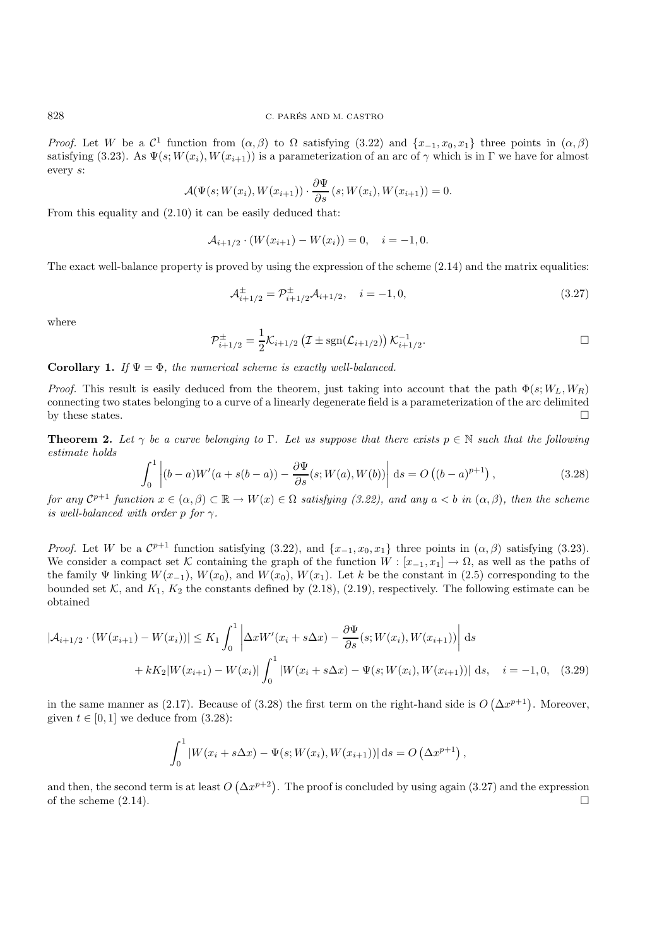*Proof.* Let W be a  $\mathcal{C}^1$  function from  $(\alpha, \beta)$  to  $\Omega$  satisfying (3.22) and  $\{x_{-1}, x_0, x_1\}$  three points in  $(\alpha, \beta)$ satisfying (3.23). As  $\Psi(s;W(x_i),W(x_{i+1}))$  is a parameterization of an arc of  $\gamma$  which is in  $\Gamma$  we have for almost every s:

$$
\mathcal{A}(\Psi(s;W(x_i),W(x_{i+1}))\cdot\frac{\partial\Psi}{\partial s}(s;W(x_i),W(x_{i+1}))=0.
$$

From this equality and (2.10) it can be easily deduced that:

$$
\mathcal{A}_{i+1/2} \cdot (W(x_{i+1}) - W(x_i)) = 0, \quad i = -1, 0.
$$

The exact well-balance property is proved by using the expression of the scheme  $(2.14)$  and the matrix equalities:

$$
\mathcal{A}_{i+1/2}^{\pm} = \mathcal{P}_{i+1/2}^{\pm} \mathcal{A}_{i+1/2}, \quad i = -1, 0,
$$
\n(3.27)

where

$$
\mathcal{P}_{i+1/2}^{\pm} = \frac{1}{2} \mathcal{K}_{i+1/2} \left( \mathcal{I} \pm \text{sgn}(\mathcal{L}_{i+1/2}) \right) \mathcal{K}_{i+1/2}^{-1}.
$$

# **Corollary 1.** *If*  $\Psi = \Phi$ *, the numerical scheme is exactly well-balanced.*

*Proof.* This result is easily deduced from the theorem, just taking into account that the path  $\Phi(s; W_L, W_R)$ connecting two states belonging to a curve of a linearly degenerate field is a parameterization of the arc delimited by these states.

**Theorem 2.** Let  $\gamma$  be a curve belonging to  $\Gamma$ . Let us suppose that there exists  $p \in \mathbb{N}$  such that the following *estimate holds*

$$
\int_0^1 \left| (b-a)W'(a+s(b-a)) - \frac{\partial \Psi}{\partial s}(s;W(a),W(b)) \right| ds = O\left( (b-a)^{p+1} \right),\tag{3.28}
$$

*for any*  $\mathcal{C}^{p+1}$  *function*  $x \in (\alpha, \beta) \subset \mathbb{R} \to W(x) \in \Omega$  *satisfying* (3.22), and any  $a < b$  *in*  $(\alpha, \beta)$ , then the scheme *is well-balanced with order p for*  $\gamma$ *.* 

*Proof.* Let W be a  $\mathcal{C}^{p+1}$  function satisfying (3.22), and  $\{x_{-1}, x_0, x_1\}$  three points in  $(\alpha, \beta)$  satisfying (3.23). We consider a compact set K containing the graph of the function  $W : [x_{-1}, x_1] \to \Omega$ , as well as the paths of the family  $\Psi$  linking  $W(x_{-1}), W(x_0),$  and  $W(x_0), W(x_1)$ . Let k be the constant in (2.5) corresponding to the bounded set  $K$ , and  $K_1$ ,  $K_2$  the constants defined by (2.18), (2.19), respectively. The following estimate can be obtained

$$
|\mathcal{A}_{i+1/2} \cdot (W(x_{i+1}) - W(x_i))| \le K_1 \int_0^1 \left| \Delta x W'(x_i + s \Delta x) - \frac{\partial \Psi}{\partial s}(s; W(x_i), W(x_{i+1})) \right| ds
$$
  
+  $k K_2 |W(x_{i+1}) - W(x_i)| \int_0^1 |W(x_i + s \Delta x) - \Psi(s; W(x_i), W(x_{i+1}))| ds, \quad i = -1, 0, \quad (3.29)$ 

in the same manner as (2.17). Because of (3.28) the first term on the right-hand side is  $O(\Delta x^{p+1})$ . Moreover, given  $t \in [0, 1]$  we deduce from  $(3.28)$ :

$$
\int_0^1 |W(x_i + s\Delta x) - \Psi(s; W(x_i), W(x_{i+1}))| ds = O(\Delta x^{p+1}),
$$

and then, the second term is at least  $O(\Delta x^{p+2})$ . The proof is concluded by using again (3.27) and the expression of the scheme  $(2.14)$ .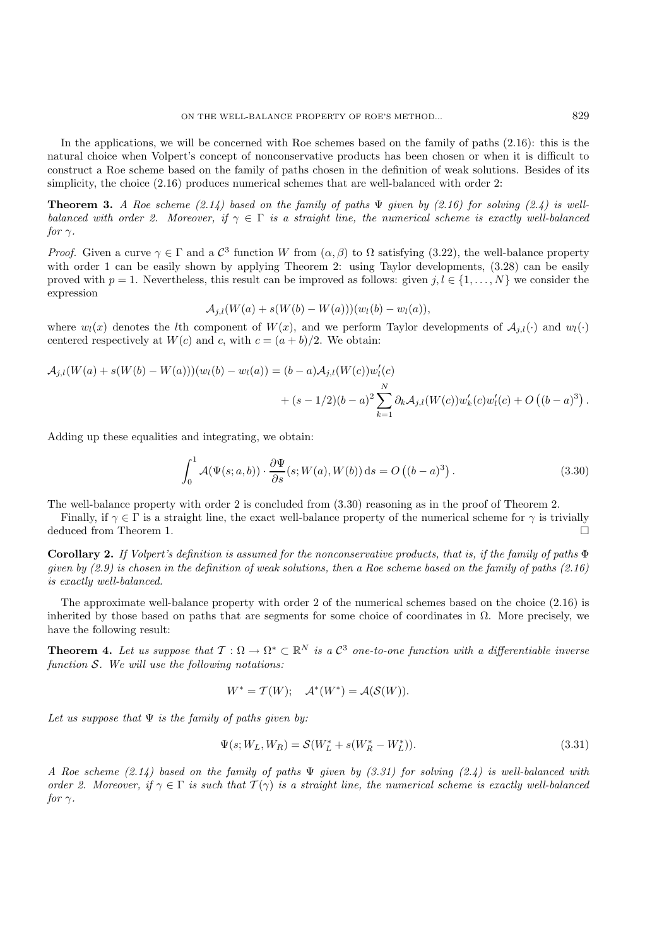In the applications, we will be concerned with Roe schemes based on the family of paths (2.16): this is the natural choice when Volpert's concept of nonconservative products has been chosen or when it is difficult to construct a Roe scheme based on the family of paths chosen in the definition of weak solutions. Besides of its simplicity, the choice  $(2.16)$  produces numerical schemes that are well-balanced with order 2:

**Theorem 3.** *A Roe scheme (2.14) based on the family of paths* Ψ *given by (2.16) for solving (2.4) is wellbalanced with order 2. Moreover, if*  $\gamma \in \Gamma$  *is a straight line, the numerical scheme is exactly well-balanced for*  $\gamma$ *.* 

*Proof.* Given a curve  $\gamma \in \Gamma$  and a  $\mathcal{C}^3$  function W from  $(\alpha, \beta)$  to  $\Omega$  satisfying (3.22), the well-balance property with order 1 can be easily shown by applying Theorem 2: using Taylor developments,  $(3.28)$  can be easily proved with  $p = 1$ . Nevertheless, this result can be improved as follows: given  $j, l \in \{1, ..., N\}$  we consider the expression

$$
\mathcal{A}_{j,l}(W(a) + s(W(b) - W(a)))(w_l(b) - w_l(a)),
$$

where  $w_l(x)$  denotes the lth component of  $W(x)$ , and we perform Taylor developments of  $\mathcal{A}_{i,l}(\cdot)$  and  $w_l(\cdot)$ centered respectively at  $W(c)$  and c, with  $c = (a + b)/2$ . We obtain:

$$
\mathcal{A}_{j,l}(W(a) + s(W(b) - W(a)))(w_l(b) - w_l(a)) = (b - a)\mathcal{A}_{j,l}(W(c))w'_l(c) \n+ (s - 1/2)(b - a)^2 \sum_{k=1}^N \partial_k \mathcal{A}_{j,l}(W(c))w'_k(c)w'_l(c) + O((b - a)^3).
$$

Adding up these equalities and integrating, we obtain:

$$
\int_0^1 \mathcal{A}(\Psi(s; a, b)) \cdot \frac{\partial \Psi}{\partial s}(s; W(a), W(b)) \, ds = O\left((b - a)^3\right). \tag{3.30}
$$

The well-balance property with order 2 is concluded from (3.30) reasoning as in the proof of Theorem 2.

Finally, if  $\gamma \in \Gamma$  is a straight line, the exact well-balance property of the numerical scheme for  $\gamma$  is trivially deduced from Theorem 1.

**Corollary 2.** *If Volpert's definition is assumed for the nonconservative products, that is, if the family of paths* Φ *given by (2.9) is chosen in the definition of weak solutions, then a Roe scheme based on the family of paths (2.16) is exactly well-balanced.*

The approximate well-balance property with order 2 of the numerical schemes based on the choice (2.16) is inherited by those based on paths that are segments for some choice of coordinates in  $\Omega$ . More precisely, we have the following result:

**Theorem 4.** Let us suppose that  $T : \Omega \to \Omega^* \subset \mathbb{R}^N$  is a  $\mathcal{C}^3$  one-to-one function with a differentiable inverse *function* S*. We will use the following notations:*

$$
W^* = \mathcal{T}(W); \quad \mathcal{A}^*(W^*) = \mathcal{A}(\mathcal{S}(W)).
$$

*Let us suppose that* Ψ *is the family of paths given by:*

$$
\Psi(s; W_L, W_R) = \mathcal{S}(W_L^* + s(W_R^* - W_L^*)).\tag{3.31}
$$

*A Roe scheme (2.14) based on the family of paths* Ψ *given by (3.31) for solving (2.4) is well-balanced with order 2. Moreover, if*  $\gamma \in \Gamma$  *is such that*  $\mathcal{T}(\gamma)$  *is a straight line, the numerical scheme is exactly well-balanced for*  $\gamma$ *.*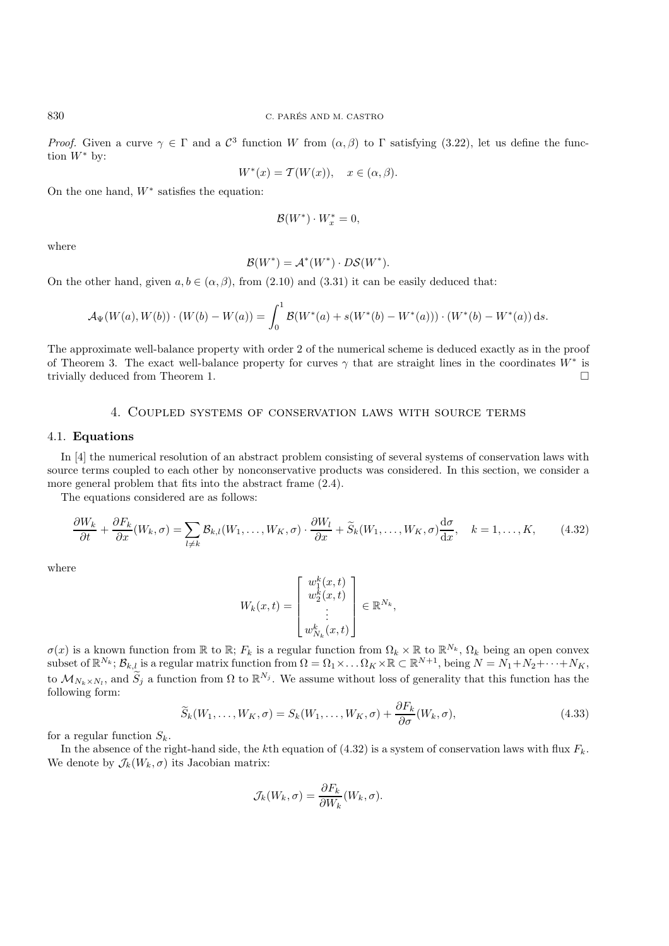*Proof.* Given a curve  $\gamma \in \Gamma$  and a  $\mathcal{C}^3$  function W from  $(\alpha, \beta)$  to  $\Gamma$  satisfying (3.22), let us define the function  $W^*$  by:

$$
W^*(x) = \mathcal{T}(W(x)), \quad x \in (\alpha, \beta).
$$

On the one hand,  $W^*$  satisfies the equation:

$$
\mathcal{B}(W^*)\cdot W_x^* = 0,
$$

where

$$
\mathcal{B}(W^*) = \mathcal{A}^*(W^*) \cdot D\mathcal{S}(W^*).
$$

On the other hand, given  $a, b \in (\alpha, \beta)$ , from (2.10) and (3.31) it can be easily deduced that:

$$
\mathcal{A}_{\Psi}(W(a),W(b))\cdot (W(b)-W(a))=\int_0^1\mathcal{B}(W^*(a)+s(W^*(b)-W^*(a)))\cdot (W^*(b)-W^*(a))\,\mathrm{d} s.
$$

The approximate well-balance property with order 2 of the numerical scheme is deduced exactly as in the proof of Theorem 3. The exact well-balance property for curves  $\gamma$  that are straight lines in the coordinates  $W^*$  is trivially deduced from Theorem 1.

# 4. Coupled systems of conservation laws with source terms

# 4.1. **Equations**

In [4] the numerical resolution of an abstract problem consisting of several systems of conservation laws with source terms coupled to each other by nonconservative products was considered. In this section, we consider a more general problem that fits into the abstract frame (2.4).

The equations considered are as follows:

$$
\frac{\partial W_k}{\partial t} + \frac{\partial F_k}{\partial x}(W_k, \sigma) = \sum_{l \neq k} \mathcal{B}_{k,l}(W_1, \dots, W_K, \sigma) \cdot \frac{\partial W_l}{\partial x} + \widetilde{S}_k(W_1, \dots, W_K, \sigma) \frac{d\sigma}{dx}, \quad k = 1, \dots, K,
$$
 (4.32)

where

$$
W_k(x,t) = \begin{bmatrix} w_1^k(x,t) \\ w_2^k(x,t) \\ \vdots \\ w_{N_k}^k(x,t) \end{bmatrix} \in \mathbb{R}^{N_k},
$$

 $\sigma(x)$  is a known function from R to R;  $F_k$  is a regular function from  $\Omega_k \times \mathbb{R}$  to  $\mathbb{R}^{N_k}$ ,  $\Omega_k$  being an open convex  $\text{subset of } \mathbb{R}^{N_k}; \mathcal{B}_{k,l} \text{ is a regular matrix function from } \Omega = \Omega_1 \times \ldots \Omega_K \times \mathbb{R} \subset \mathbb{R}^{N+1}, \text{ being } N = N_1 + N_2 + \cdots + N_K,$ to  $\mathcal{M}_{N_k\times N_l}$ , and  $\widetilde{S}_j$  a function from  $\Omega$  to  $\mathbb{R}^{N_j}$ . We assume without loss of generality that this function has the following form:

$$
\widetilde{S}_k(W_1,\ldots,W_K,\sigma) = S_k(W_1,\ldots,W_K,\sigma) + \frac{\partial F_k}{\partial \sigma}(W_k,\sigma),\tag{4.33}
$$

for a regular function  $S_k$ .

In the absence of the right-hand side, the kth equation of (4.32) is a system of conservation laws with flux  $F_k$ . We denote by  $\mathcal{J}_k(W_k, \sigma)$  its Jacobian matrix:

$$
\mathcal{J}_k(W_k, \sigma) = \frac{\partial F_k}{\partial W_k}(W_k, \sigma).
$$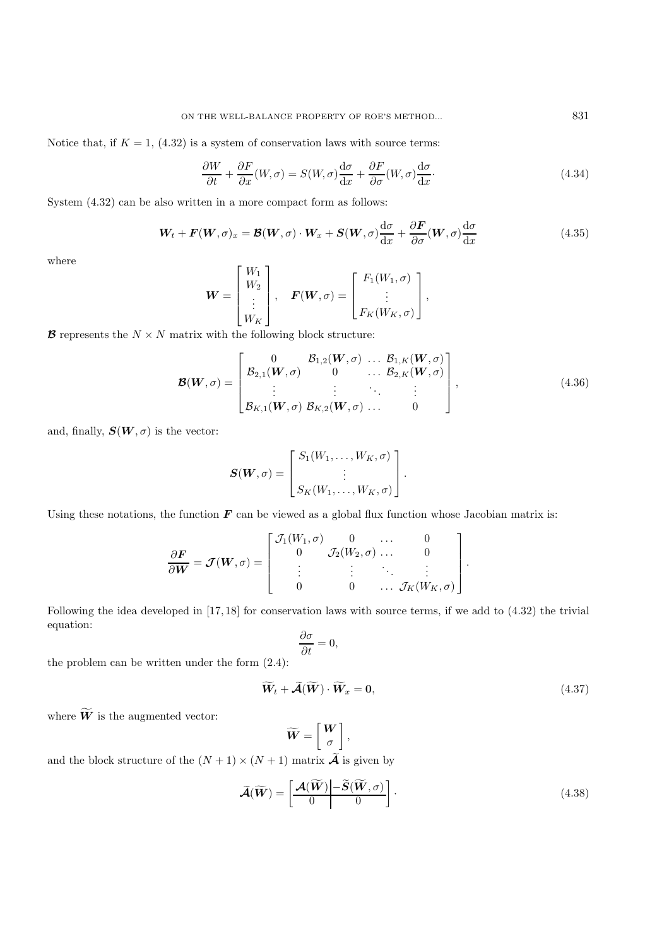Notice that, if  $K = 1$ , (4.32) is a system of conservation laws with source terms:

$$
\frac{\partial W}{\partial t} + \frac{\partial F}{\partial x}(W,\sigma) = S(W,\sigma)\frac{d\sigma}{dx} + \frac{\partial F}{\partial \sigma}(W,\sigma)\frac{d\sigma}{dx}.
$$
\n(4.34)

System (4.32) can be also written in a more compact form as follows:

$$
\mathbf{W}_t + \mathbf{F}(\mathbf{W}, \sigma)_x = \mathbf{B}(\mathbf{W}, \sigma) \cdot \mathbf{W}_x + \mathbf{S}(\mathbf{W}, \sigma) \frac{d\sigma}{dx} + \frac{\partial \mathbf{F}}{\partial \sigma}(\mathbf{W}, \sigma) \frac{d\sigma}{dx}
$$
(4.35)

where

$$
\boldsymbol{W} = \begin{bmatrix} W_1 \\ W_2 \\ \vdots \\ W_K \end{bmatrix}, \quad \boldsymbol{F}(\boldsymbol{W}, \sigma) = \begin{bmatrix} F_1(W_1, \sigma) \\ \vdots \\ F_K(W_K, \sigma) \end{bmatrix},
$$

**B** represents the  $N \times N$  matrix with the following block structure:

$$
\mathcal{B}(W,\sigma) = \begin{bmatrix} 0 & \mathcal{B}_{1,2}(W,\sigma) & \dots & \mathcal{B}_{1,K}(W,\sigma) \\ \mathcal{B}_{2,1}(W,\sigma) & 0 & \dots & \mathcal{B}_{2,K}(W,\sigma) \\ \vdots & \vdots & \ddots & \vdots \\ \mathcal{B}_{K,1}(W,\sigma) & \mathcal{B}_{K,2}(W,\sigma) & \dots & 0 \end{bmatrix},
$$
(4.36)

and, finally,  $S(W, \sigma)$  is the vector:

$$
\boldsymbol{S}(\boldsymbol{W}, \sigma) = \begin{bmatrix} S_1(W_1, \dots, W_K, \sigma) \\ \vdots \\ S_K(W_1, \dots, W_K, \sigma) \end{bmatrix}.
$$

Using these notations, the function  $F$  can be viewed as a global flux function whose Jacobian matrix is:

$$
\frac{\partial \boldsymbol{F}}{\partial \boldsymbol{W}} = \boldsymbol{\mathcal{J}}(\boldsymbol{W}, \sigma) = \begin{bmatrix} \mathcal{J}_1(W_1, \sigma) & 0 & \dots & 0 \\ 0 & \mathcal{J}_2(W_2, \sigma) & \dots & 0 \\ \vdots & \vdots & \ddots & \vdots \\ 0 & 0 & \dots & \mathcal{J}_K(W_K, \sigma) \end{bmatrix}.
$$

Following the idea developed in [17, 18] for conservation laws with source terms, if we add to (4.32) the trivial equation:

$$
\frac{\partial \sigma}{\partial t} = 0,
$$

the problem can be written under the form (2.4):

$$
\widetilde{W}_t + \widetilde{\mathcal{A}}(\widetilde{W}) \cdot \widetilde{W}_x = 0, \tag{4.37}
$$

where  $\widetilde{W}$  is the augmented vector:

$$
\widetilde{W} = \begin{bmatrix} W \\ \sigma \end{bmatrix},
$$

and the block structure of the  $(N + 1) \times (N + 1)$  matrix  $\widetilde{A}$  is given by

$$
\widetilde{\mathcal{A}}(\widetilde{W}) = \left[\frac{\mathcal{A}(\widetilde{W}) - \widetilde{S}(\widetilde{W}, \sigma)}{0}\right].
$$
\n(4.38)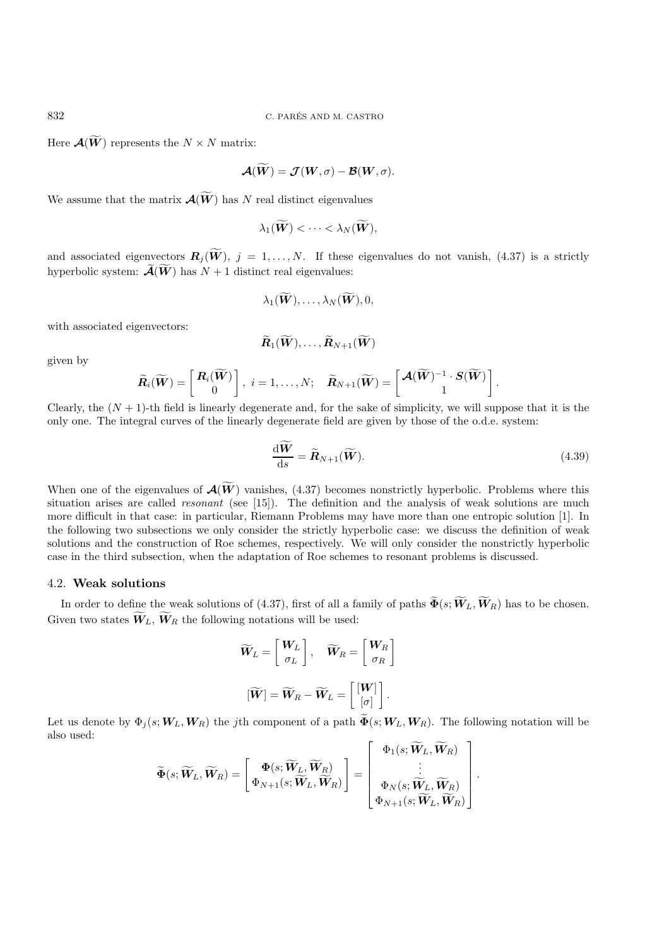Here  $\mathcal{A}(\widetilde{W})$  represents the  $N \times N$  matrix:

$$
\mathcal{A}(\widetilde{W})=\mathcal{J}(W,\sigma)-\mathcal{B}(W,\sigma).
$$

We assume that the matrix  $\mathcal{A}(\widetilde{W})$  has N real distinct eigenvalues

$$
\lambda_1(\widetilde{\boldsymbol{W}})<\cdots<\lambda_N(\widetilde{\boldsymbol{W}}),
$$

and associated eigenvectors  $\mathbf{R}_j(\widetilde{W})$ ,  $j = 1, ..., N$ . If these eigenvalues do not vanish, (4.37) is a strictly hyperbolic system:  $\widetilde{\mathcal{A}}(\widetilde{W})$  has  $N+1$  distinct real eigenvalues:

$$
\lambda_1(\widetilde{\boldsymbol{W}}),\ldots,\lambda_N(\widetilde{\boldsymbol{W}}),0,
$$

with associated eigenvectors:

$$
\widetilde{\bm{R}}_1(\widetilde{\bm{W}}),\ldots,\widetilde{\bm{R}}_{N+1}(\widetilde{\bm{W}})
$$

given by

$$
\widetilde{\boldsymbol{R}}_i(\widetilde{\boldsymbol{W}})=\left[\begin{array}{c} \boldsymbol{R}_i(\widetilde{\boldsymbol{W}}) \\ 0 \end{array}\right],\ i=1,\ldots,N;\quad \widetilde{\boldsymbol{R}}_{N+1}(\widetilde{\boldsymbol{W}})=\left[\begin{array}{c} \boldsymbol{\mathcal{A}}(\widetilde{\boldsymbol{W}})^{-1}\cdot\boldsymbol{S}(\widetilde{\boldsymbol{W}}) \\ 1 \end{array}\right].
$$

Clearly, the  $(N + 1)$ -th field is linearly degenerate and, for the sake of simplicity, we will suppose that it is the only one. The integral curves of the linearly degenerate field are given by those of the o.d.e. system:

$$
\frac{\mathrm{d}\widetilde{W}}{\mathrm{d}s} = \widetilde{R}_{N+1}(\widetilde{W}).\tag{4.39}
$$

When one of the eigenvalues of  $\mathcal{A}(\widetilde{W})$  vanishes, (4.37) becomes nonstrictly hyperbolic. Problems where this situation arises are called *resonant* (see [15]). The definition and the analysis of weak solutions are much more difficult in that case: in particular, Riemann Problems may have more than one entropic solution [1]. In the following two subsections we only consider the strictly hyperbolic case: we discuss the definition of weak solutions and the construction of Roe schemes, respectively. We will only consider the nonstrictly hyperbolic case in the third subsection, when the adaptation of Roe schemes to resonant problems is discussed.

#### 4.2. **Weak solutions**

In order to define the weak solutions of (4.37), first of all a family of paths  $\widetilde{\Phi}(s; \widetilde{W}_L, \widetilde{W}_R)$  has to be chosen. Given two states  $W_L$ ,  $W_R$  the following notations will be used:

$$
\widetilde{\boldsymbol{W}}_L = \begin{bmatrix} \boldsymbol{W}_L \\ \sigma_L \end{bmatrix}, \quad \widetilde{\boldsymbol{W}}_R = \begin{bmatrix} \boldsymbol{W}_R \\ \sigma_R \end{bmatrix}
$$

$$
[\widetilde{\boldsymbol{W}}] = \widetilde{\boldsymbol{W}}_R - \widetilde{\boldsymbol{W}}_L = \begin{bmatrix} [\boldsymbol{W}] \\ [\sigma] \end{bmatrix}.
$$

Let us denote by  $\Phi_i(s; \mathbf{W}_L, \mathbf{W}_R)$  the jth component of a path  $\widetilde{\Phi}(s; \mathbf{W}_L, \mathbf{W}_R)$ . The following notation will be also used:  $\overline{1}$ 

$$
\widetilde{\mathbf{\Phi}}(s;\widetilde{\boldsymbol{W}}_L,\widetilde{\boldsymbol{W}}_R)=\left[\begin{matrix}\boldsymbol{\Phi}(s;\widetilde{\boldsymbol{W}}_L,\widetilde{\boldsymbol{W}}_R)\\ \boldsymbol{\Phi}_{N+1}(s;\widetilde{\boldsymbol{W}}_L,\widetilde{\boldsymbol{W}}_R)\end{matrix}\right]=\left[\begin{matrix}\Phi_1(s;\widetilde{\boldsymbol{W}}_L,\widetilde{\boldsymbol{W}}_R)\\\vdots\\ \Phi_N(s;\widetilde{\boldsymbol{W}}_L,\widetilde{\boldsymbol{W}}_R)\\ \Phi_{N+1}(s;\widetilde{\boldsymbol{W}}_L,\widetilde{\boldsymbol{W}}_R)\end{matrix}\right].
$$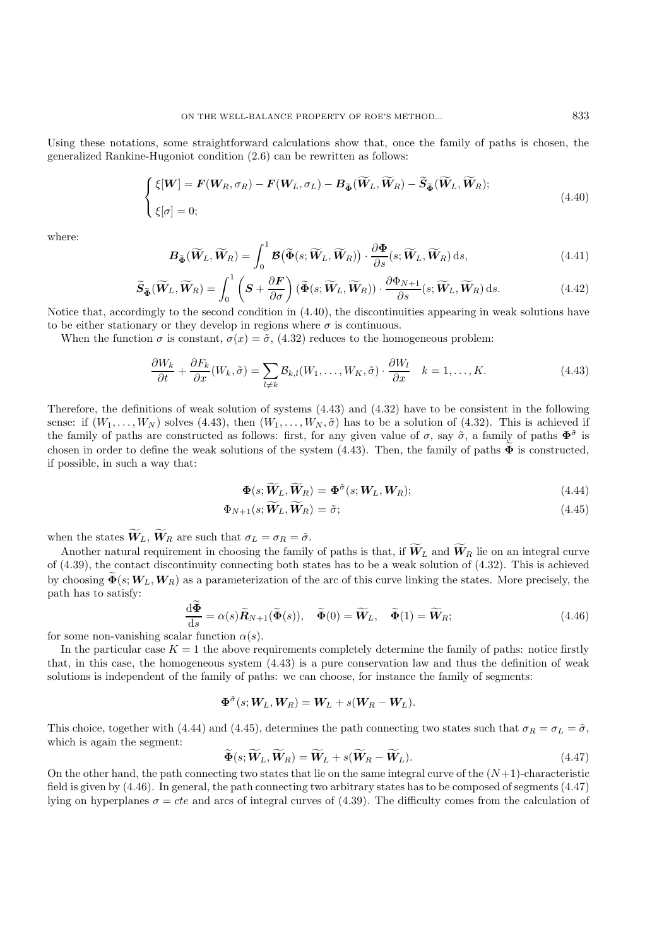Using these notations, some straightforward calculations show that, once the family of paths is chosen, the generalized Rankine-Hugoniot condition (2.6) can be rewritten as follows:

$$
\begin{cases} \xi[W] = \mathbf{F}(W_R, \sigma_R) - \mathbf{F}(W_L, \sigma_L) - \mathbf{B}_{\widetilde{\Phi}}(\widetilde{W}_L, \widetilde{W}_R) - \widetilde{\mathbf{S}}_{\widetilde{\Phi}}(\widetilde{W}_L, \widetilde{W}_R); \\ \xi[\sigma] = 0; \end{cases}
$$
\n(4.40)

where:

$$
\boldsymbol{B}_{\widetilde{\boldsymbol{\Phi}}}(\widetilde{\boldsymbol{W}}_L, \widetilde{\boldsymbol{W}}_R) = \int_0^1 \boldsymbol{\mathcal{B}}(\widetilde{\boldsymbol{\Phi}}(s; \widetilde{\boldsymbol{W}}_L, \widetilde{\boldsymbol{W}}_R)) \cdot \frac{\partial \boldsymbol{\Phi}}{\partial s}(s; \widetilde{\boldsymbol{W}}_L, \widetilde{\boldsymbol{W}}_R) ds,
$$
\n(4.41)

$$
\widetilde{\mathbf{S}}_{\widetilde{\boldsymbol{\Phi}}}(\widetilde{\boldsymbol{W}}_L, \widetilde{\boldsymbol{W}}_R) = \int_0^1 \left( \boldsymbol{S} + \frac{\partial \boldsymbol{F}}{\partial \sigma} \right) (\widetilde{\boldsymbol{\Phi}}(s; \widetilde{\boldsymbol{W}}_L, \widetilde{\boldsymbol{W}}_R)) \cdot \frac{\partial \boldsymbol{\Phi}_{N+1}}{\partial s}(s; \widetilde{\boldsymbol{W}}_L, \widetilde{\boldsymbol{W}}_R) ds. \tag{4.42}
$$

Notice that, accordingly to the second condition in (4.40), the discontinuities appearing in weak solutions have to be either stationary or they develop in regions where  $\sigma$  is continuous.

When the function  $\sigma$  is constant,  $\sigma(x)=\tilde{\sigma}$ , (4.32) reduces to the homogeneous problem:

$$
\frac{\partial W_k}{\partial t} + \frac{\partial F_k}{\partial x}(W_k, \tilde{\sigma}) = \sum_{l \neq k} \mathcal{B}_{k,l}(W_1, \dots, W_K, \tilde{\sigma}) \cdot \frac{\partial W_l}{\partial x} \quad k = 1, \dots, K. \tag{4.43}
$$

Therefore, the definitions of weak solution of systems (4.43) and (4.32) have to be consistent in the following sense: if  $(W_1,\ldots,W_N)$  solves (4.43), then  $(W_1,\ldots,W_N,\tilde{\sigma})$  has to be a solution of (4.32). This is achieved if the family of paths are constructed as follows: first, for any given value of  $\sigma$ , say  $\tilde{\sigma}$ , a family of paths  $\Phi^{\tilde{\sigma}}$  is chosen in order to define the weak solutions of the system  $(4.43)$ . Then, the family of paths  $\Phi$  is constructed, if possible, in such a way that:

$$
\Phi(s; \widetilde{W}_L, \widetilde{W}_R) = \Phi^{\tilde{\sigma}}(s; W_L, W_R); \tag{4.44}
$$

$$
\Phi_{N+1}(s; \tilde{W}_L, \tilde{W}_R) = \tilde{\sigma};\tag{4.45}
$$

when the states  $\widetilde{W}_L$ ,  $\widetilde{W}_R$  are such that  $\sigma_L = \sigma_R = \tilde{\sigma}$ .

Another natural requirement in choosing the family of paths is that, if  $\widetilde{W}_L$  and  $\widetilde{W}_R$  lie on an integral curve of (4.39), the contact discontinuity connecting both states has to be a weak solution of (4.32). This is achieved by choosing  $\tilde{\Phi}(s;W_L,W_R)$  as a parameterization of the arc of this curve linking the states. More precisely, the path has to satisfy:

$$
\frac{\mathrm{d}\Phi}{\mathrm{d}s} = \alpha(s)\widetilde{R}_{N+1}(\widetilde{\Phi}(s)), \quad \widetilde{\Phi}(0) = \widetilde{W}_L, \quad \widetilde{\Phi}(1) = \widetilde{W}_R; \tag{4.46}
$$

for some non-vanishing scalar function  $\alpha(s)$ .

In the particular case  $K = 1$  the above requirements completely determine the family of paths: notice firstly that, in this case, the homogeneous system (4.43) is a pure conservation law and thus the definition of weak solutions is independent of the family of paths: we can choose, for instance the family of segments:

$$
\Phi^{\tilde{\sigma}}(s; \boldsymbol{W}_L, \boldsymbol{W}_R) = \boldsymbol{W}_L + s(\boldsymbol{W}_R - \boldsymbol{W}_L).
$$

This choice, together with (4.44) and (4.45), determines the path connecting two states such that  $\sigma_R = \sigma_L = \tilde{\sigma}$ , which is again the segment:  $\sim$ 

$$
\widetilde{\Phi}(s; \widetilde{\boldsymbol{W}}_L, \widetilde{\boldsymbol{W}}_R) = \widetilde{\boldsymbol{W}}_L + s(\widetilde{\boldsymbol{W}}_R - \widetilde{\boldsymbol{W}}_L). \tag{4.47}
$$

 $\Phi(s; W_L, W_R) = W_L + s(W_R - W_L).$ (4.47)<br>
On the other hand, the path connecting two states that lie on the same integral curve of the  $(N+1)$ -characteristic field is given by (4.46). In general, the path connecting two arbitrary states has to be composed of segments (4.47) lying on hyperplanes  $\sigma = cte$  and arcs of integral curves of (4.39). The difficulty comes from the calculation of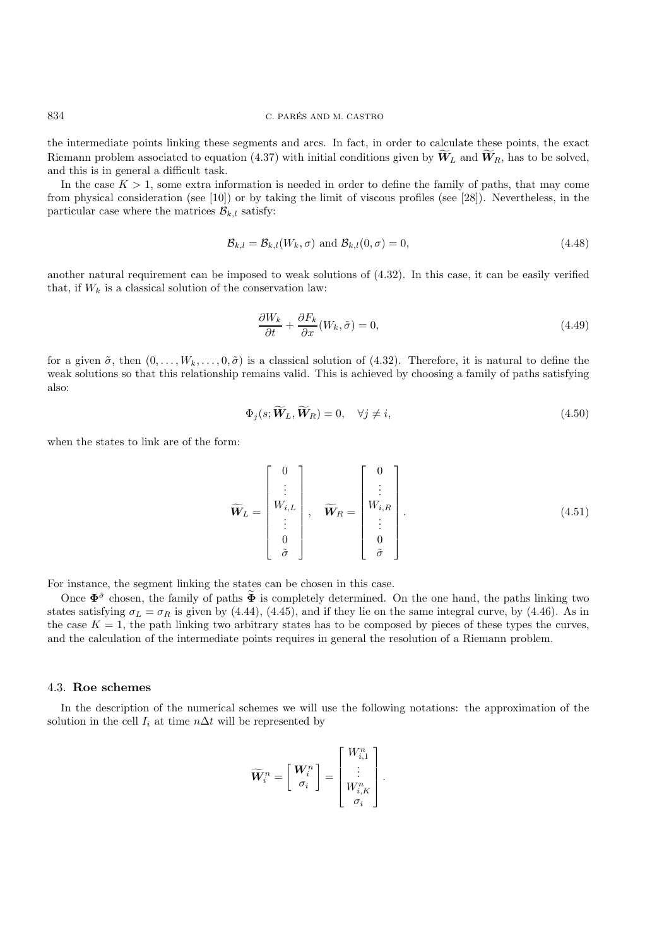the intermediate points linking these segments and arcs. In fact, in order to calculate these points, the exact Riemann problem associated to equation (4.37) with initial conditions given by  $\widetilde{W}_L$  and  $\widetilde{W}_R$ , has to be solved, and this is in general a difficult task.

In the case  $K > 1$ , some extra information is needed in order to define the family of paths, that may come from physical consideration (see [10]) or by taking the limit of viscous profiles (see [28]). Nevertheless, in the particular case where the matrices  $\mathcal{B}_{k,l}$  satisfy:

$$
\mathcal{B}_{k,l} = \mathcal{B}_{k,l}(W_k, \sigma) \text{ and } \mathcal{B}_{k,l}(0, \sigma) = 0,
$$
\n(4.48)

another natural requirement can be imposed to weak solutions of (4.32). In this case, it can be easily verified that, if  $W_k$  is a classical solution of the conservation law:

$$
\frac{\partial W_k}{\partial t} + \frac{\partial F_k}{\partial x}(W_k, \tilde{\sigma}) = 0,
$$
\n(4.49)

for a given  $\tilde{\sigma}$ , then  $(0,\ldots,W_k,\ldots,0,\tilde{\sigma})$  is a classical solution of (4.32). Therefore, it is natural to define the weak solutions so that this relationship remains valid. This is achieved by choosing a family of paths satisfying also:

$$
\Phi_j(s; \widetilde{\boldsymbol{W}}_L, \widetilde{\boldsymbol{W}}_R) = 0, \quad \forall j \neq i,
$$
\n(4.50)

when the states to link are of the form:

$$
\widetilde{\boldsymbol{W}}_L = \begin{bmatrix} 0 \\ \vdots \\ W_{i,L} \\ \vdots \\ 0 \\ 0 \\ \widetilde{\sigma} \end{bmatrix}, \quad \widetilde{\boldsymbol{W}}_R = \begin{bmatrix} 0 \\ \vdots \\ W_{i,R} \\ \vdots \\ 0 \\ 0 \\ \widetilde{\sigma} \end{bmatrix} . \tag{4.51}
$$

For instance, the segment linking the states can be chosen in this case.

Once  $\Phi^{\tilde{\sigma}}$  chosen, the family of paths  $\Phi$  is completely determined. On the one hand, the paths linking two states satisfying  $\sigma_L = \sigma_R$  is given by (4.44), (4.45), and if they lie on the same integral curve, by (4.46). As in the case  $K = 1$ , the path linking two arbitrary states has to be composed by pieces of these types the curves, and the calculation of the intermediate points requires in general the resolution of a Riemann problem.

## 4.3. **Roe schemes**

In the description of the numerical schemes we will use the following notations: the approximation of the solution in the cell  $I_i$  at time  $n\Delta t$  will be represented by

$$
\widetilde{\boldsymbol{W}}_i^n = \left[\begin{array}{c} \boldsymbol{W}_i^n \\ \sigma_i \end{array}\right] = \left[\begin{array}{c} \boldsymbol{W}_{i,1}^n \\ \vdots \\ \boldsymbol{W}_{i,K}^n \\ \sigma_i \end{array}\right].
$$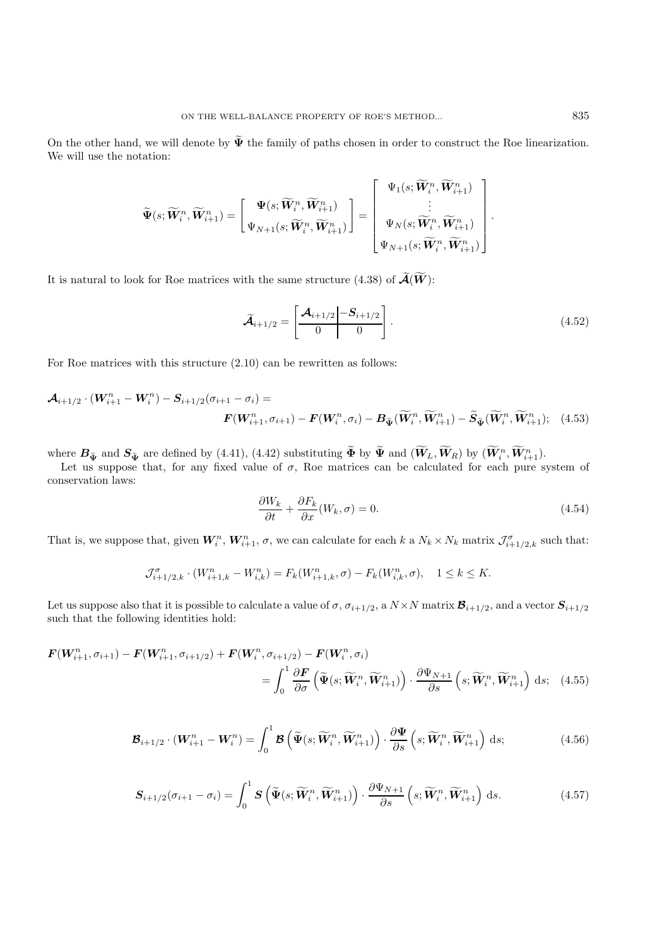On the other hand, we will denote by  $\tilde{\Psi}$  the family of paths chosen in order to construct the Roe linearization. We will use the notation:

$$
\widetilde{\Psi}(s;\widetilde{\boldsymbol{W}}_{i}^{n},\widetilde{\boldsymbol{W}}_{i+1}^{n})=\left[\begin{matrix}\boldsymbol{\Psi}(s;\widetilde{\boldsymbol{W}}_{i}^{n},\widetilde{\boldsymbol{W}}_{i+1}^{n})\\\boldsymbol{\Psi}_{N+1}(s;\widetilde{\boldsymbol{W}}_{i}^{n},\widetilde{\boldsymbol{W}}_{i+1}^{n})\end{matrix}\right]=\left[\begin{matrix}\Psi_{1}(s;\widetilde{\boldsymbol{W}}_{i}^{n},\widetilde{\boldsymbol{W}}_{i+1}^{n})\\\vdots\\\Psi_{N}(s;\widetilde{\boldsymbol{W}}_{i}^{n},\widetilde{\boldsymbol{W}}_{i+1}^{n})\\\boldsymbol{\Psi}_{N+1}(s;\widetilde{\boldsymbol{W}}_{i}^{n},\widetilde{\boldsymbol{W}}_{i+1}^{n})\end{matrix}\right]
$$

It is natural to look for Roe matrices with the same structure (4.38) of  $\widetilde{\mathcal{A}}(\widetilde{W})$ :

$$
\widetilde{\mathcal{A}}_{i+1/2} = \left[ \frac{\mathcal{A}_{i+1/2} - \mathcal{S}_{i+1/2}}{0} \right]. \tag{4.52}
$$

.

For Roe matrices with this structure (2.10) can be rewritten as follows:

$$
\mathcal{A}_{i+1/2} \cdot (W_{i+1}^n - W_i^n) - S_{i+1/2}(\sigma_{i+1} - \sigma_i) =
$$
  

$$
\mathbf{F}(W_{i+1}^n, \sigma_{i+1}) - \mathbf{F}(W_i^n, \sigma_i) - B_{\tilde{\Psi}}(\widetilde{W}_i^n, \widetilde{W}_{i+1}^n) - \widetilde{S}_{\tilde{\Psi}}(\widetilde{W}_i^n, \widetilde{W}_{i+1}^n); \quad (4.53)
$$

where  $B_{\tilde{\Psi}}$  and  $S_{\tilde{\Psi}}$  are defined by (4.41), (4.42) substituting  $\tilde{\Phi}$  by  $\tilde{\Psi}$  and  $(\tilde{W}_L, \tilde{W}_R)$  by  $(\tilde{W}_i^n, \tilde{W}_{i+1}^n)$ .

Let us suppose that, for any fixed value of  $\sigma$ , Roe matrices can be calculated for each pure system of conservation laws:

$$
\frac{\partial W_k}{\partial t} + \frac{\partial F_k}{\partial x}(W_k, \sigma) = 0.
$$
\n(4.54)

That is, we suppose that, given  $W_i^n$ ,  $W_{i+1}^n$ ,  $\sigma$ , we can calculate for each k a  $N_k \times N_k$  matrix  $\mathcal{J}_{i+1/2,k}^{\sigma}$  such that:

$$
\mathcal{J}_{i+1/2,k}^{\sigma} \cdot (W_{i+1,k}^n - W_{i,k}^n) = F_k(W_{i+1,k}^n, \sigma) - F_k(W_{i,k}^n, \sigma), \quad 1 \le k \le K.
$$

Let us suppose also that it is possible to calculate a value of  $\sigma$ ,  $\sigma_{i+1/2}$ , a  $N \times N$  matrix  $\mathcal{B}_{i+1/2}$ , and a vector  $\mathcal{S}_{i+1/2}$ such that the following identities hold:

$$
\mathbf{F}(\mathbf{W}_{i+1}^n, \sigma_{i+1}) - \mathbf{F}(\mathbf{W}_{i+1}^n, \sigma_{i+1/2}) + \mathbf{F}(\mathbf{W}_i^n, \sigma_{i+1/2}) - \mathbf{F}(\mathbf{W}_i^n, \sigma_i)
$$
\n
$$
= \int_0^1 \frac{\partial \mathbf{F}}{\partial \sigma} \left( \widetilde{\Psi}(s; \widetilde{\mathbf{W}}_i^n, \widetilde{\mathbf{W}}_{i+1}^n) \right) \cdot \frac{\partial \Psi_{N+1}}{\partial s} \left( s; \widetilde{\mathbf{W}}_i^n, \widetilde{\mathbf{W}}_{i+1}^n \right) ds; \quad (4.55)
$$

$$
\boldsymbol{\mathcal{B}}_{i+1/2} \cdot (\boldsymbol{W}_{i+1}^n - \boldsymbol{W}_i^n) = \int_0^1 \boldsymbol{\mathcal{B}} \left( \widetilde{\boldsymbol{\Psi}}(s; \widetilde{\boldsymbol{W}}_i^n, \widetilde{\boldsymbol{W}}_{i+1}^n) \right) \cdot \frac{\partial \boldsymbol{\Psi}}{\partial s} \left( s; \widetilde{\boldsymbol{W}}_i^n, \widetilde{\boldsymbol{W}}_{i+1}^n \right) \, \mathrm{d}s; \tag{4.56}
$$

$$
\mathbf{S}_{i+1/2}(\sigma_{i+1}-\sigma_i) = \int_0^1 \mathbf{S} \left( \widetilde{\Psi}(s; \widetilde{\mathbf{W}}_i^n, \widetilde{\mathbf{W}}_{i+1}^n) \right) \cdot \frac{\partial \Psi_{N+1}}{\partial s} \left( s; \widetilde{\mathbf{W}}_i^n, \widetilde{\mathbf{W}}_{i+1}^n \right) ds. \tag{4.57}
$$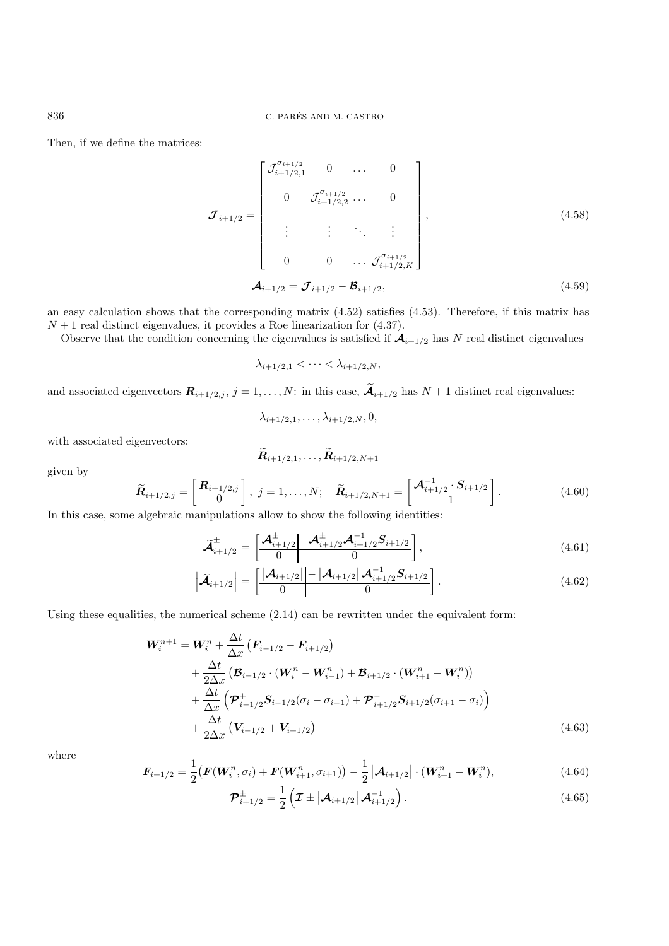Then, if we define the matrices:

$$
\boldsymbol{\mathcal{J}}_{i+1/2} = \begin{bmatrix} \mathcal{J}_{i+1/2,1}^{\sigma_{i+1/2}} & 0 & \cdots & 0 \\ 0 & \mathcal{J}_{i+1/2,2}^{\sigma_{i+1/2}} & \cdots & 0 \\ \vdots & \vdots & \ddots & \vdots \\ 0 & 0 & \cdots & \mathcal{J}_{i+1/2,K}^{\sigma_{i+1/2}} \end{bmatrix},
$$
(4.58)  

$$
\boldsymbol{\mathcal{A}}_{i+1/2} = \boldsymbol{\mathcal{J}}_{i+1/2} - \boldsymbol{\mathcal{B}}_{i+1/2},
$$
(4.59)

an easy calculation shows that the corresponding matrix (4.52) satisfies (4.53). Therefore, if this matrix has  $N + 1$  real distinct eigenvalues, it provides a Roe linearization for (4.37).

Observe that the condition concerning the eigenvalues is satisfied if  $\mathcal{A}_{i+1/2}$  has N real distinct eigenvalues

$$
\lambda_{i+1/2,1} < \cdots < \lambda_{i+1/2,N},
$$

and associated eigenvectors  $\mathbf{R}_{i+1/2,j}$ ,  $j = 1, ..., N$ : in this case,  $\widetilde{\mathcal{A}}_{i+1/2}$  has  $N + 1$  distinct real eigenvalues:

$$
\lambda_{i+1/2,1},\ldots,\lambda_{i+1/2,N},0,
$$

with associated eigenvectors:

$$
\bm{R}_{i+1/2,1},\ldots,\bm{R}_{i+1/2,N+1}
$$

given by

$$
\widetilde{\bm{R}}_{i+1/2,j} = \begin{bmatrix} \bm{R}_{i+1/2,j} \\ 0 \end{bmatrix}, \ j = 1, \ldots, N; \quad \widetilde{\bm{R}}_{i+1/2,N+1} = \begin{bmatrix} \bm{\mathcal{A}}_{i+1/2}^{-1} \cdot \bm{S}_{i+1/2} \\ 1 \end{bmatrix}.
$$
\n(4.60)

In this case, some algebraic manipulations allow to show the following identities:

$$
\widetilde{\mathcal{A}}_{i+1/2}^{\pm} = \left[ \frac{\mathcal{A}_{i+1/2}^{\pm} \left| -\mathcal{A}_{i+1/2}^{\pm} \mathcal{A}_{i+1/2}^{-1} S_{i+1/2} \right|}{0} \right],
$$
\n(4.61)

$$
\left| \widetilde{\mathcal{A}}_{i+1/2} \right| = \left[ \frac{\left| \mathcal{A}_{i+1/2} \right| - \left| \mathcal{A}_{i+1/2} \right| \mathcal{A}_{i+1/2}^{-1} S_{i+1/2}}{0} \right].
$$
\n(4.62)

Using these equalities, the numerical scheme  $(2.14)$  can be rewritten under the equivalent form:

$$
W_{i}^{n+1} = W_{i}^{n} + \frac{\Delta t}{\Delta x} \left( \mathbf{F}_{i-1/2} - \mathbf{F}_{i+1/2} \right)
$$
  
+ 
$$
\frac{\Delta t}{2\Delta x} \left( \mathbf{B}_{i-1/2} \cdot \left( \mathbf{W}_{i}^{n} - \mathbf{W}_{i-1}^{n} \right) + \mathbf{B}_{i+1/2} \cdot \left( \mathbf{W}_{i+1}^{n} - \mathbf{W}_{i}^{n} \right) \right)
$$
  
+ 
$$
\frac{\Delta t}{\Delta x} \left( \mathbf{\mathcal{P}}_{i-1/2}^{+} \mathbf{S}_{i-1/2} (\sigma_{i} - \sigma_{i-1}) + \mathbf{\mathcal{P}}_{i+1/2}^{-} \mathbf{S}_{i+1/2} (\sigma_{i+1} - \sigma_{i}) \right)
$$
  
+ 
$$
\frac{\Delta t}{2\Delta x} \left( \mathbf{V}_{i-1/2} + \mathbf{V}_{i+1/2} \right)
$$
(4.63)

where

$$
F_{i+1/2} = \frac{1}{2} \left( \mathbf{F}(\mathbf{W}_i^n, \sigma_i) + \mathbf{F}(\mathbf{W}_{i+1}^n, \sigma_{i+1}) \right) - \frac{1}{2} \left| \mathbf{\mathcal{A}}_{i+1/2} \right| \cdot (\mathbf{W}_{i+1}^n - \mathbf{W}_i^n), \tag{4.64}
$$

$$
\mathcal{P}_{i+1/2}^{\pm} = \frac{1}{2} \left( \mathcal{I} \pm \left| \mathcal{A}_{i+1/2} \right| \mathcal{A}_{i+1/2}^{-1} \right). \tag{4.65}
$$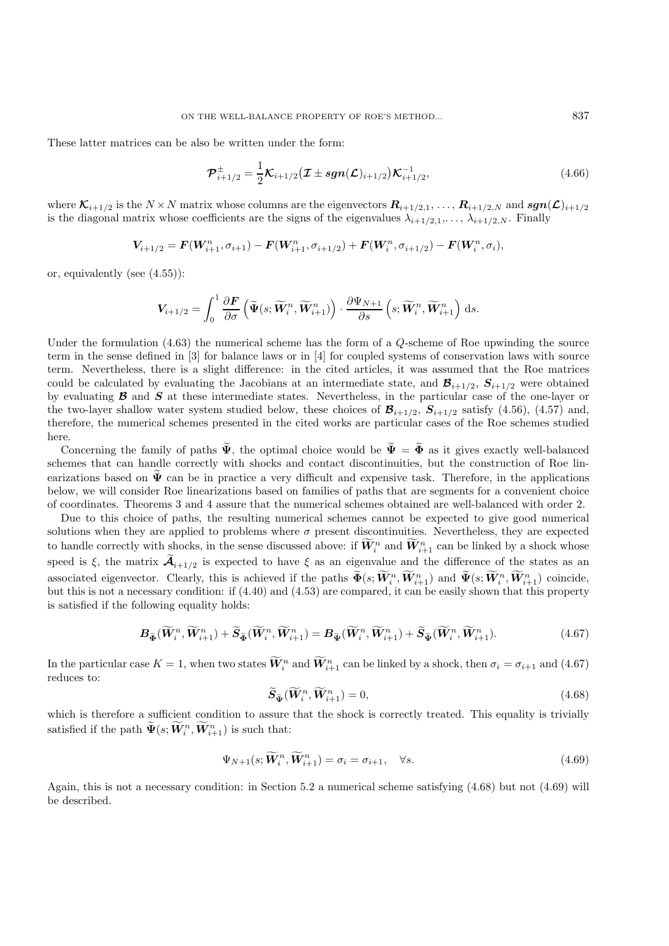These latter matrices can be also be written under the form:

$$
\mathcal{P}_{i+1/2}^{\pm} = \frac{1}{2} \mathcal{K}_{i+1/2} (\mathcal{I} \pm sgn(\mathcal{L})_{i+1/2}) \mathcal{K}_{i+1/2}^{-1},
$$
\n(4.66)

where  $\mathcal{K}_{i+1/2}$  is the  $N \times N$  matrix whose columns are the eigenvectors  $\mathcal{R}_{i+1/2,1},\ldots,\mathcal{R}_{i+1/2,N}$  and  $sgn(\mathcal{L})_{i+1/2}$ is the diagonal matrix whose coefficients are the signs of the eigenvalues  $\lambda_{i+1/2,1},\ldots, \lambda_{i+1/2,N}$ . Finally

$$
V_{i+1/2} = F(W_{i+1}^n, \sigma_{i+1}) - F(W_{i+1}^n, \sigma_{i+1/2}) + F(W_i^n, \sigma_{i+1/2}) - F(W_i^n, \sigma_i),
$$

or, equivalently (see (4.55)):

$$
\boldsymbol{V}_{i+1/2} = \int_0^1 \frac{\partial \boldsymbol{F}}{\partial \sigma} \left( \widetilde{\boldsymbol{\Psi}}(s; \widetilde{\boldsymbol{W}}_i^n, \widetilde{\boldsymbol{W}}_{i+1}^n) \right) \cdot \frac{\partial \boldsymbol{\Psi}_{N+1}}{\partial s} \left( s; \widetilde{\boldsymbol{W}}_i^n, \widetilde{\boldsymbol{W}}_{i+1}^n \right) \, \mathrm{d}s.
$$

Under the formulation (4.63) the numerical scheme has the form of a Q-scheme of Roe upwinding the source term in the sense defined in [3] for balance laws or in [4] for coupled systems of conservation laws with source term. Nevertheless, there is a slight difference: in the cited articles, it was assumed that the Roe matrices could be calculated by evaluating the Jacobians at an intermediate state, and  $\mathcal{B}_{i+1/2}$ ,  $S_{i+1/2}$  were obtained by evaluating *<sup>B</sup>* and *S* at these intermediate states. Nevertheless, in the particular case of the one-layer or the two-layer shallow water system studied below, these choices of  $\mathcal{B}_{i+1/2}$ ,  $S_{i+1/2}$  satisfy (4.56), (4.57) and, therefore, the numerical schemes presented in the cited works are particular cases of the Roe schemes studied here.

Concerning the family of paths  $\tilde{\Psi}$ , the optimal choice would be  $\tilde{\Psi} = \tilde{\Phi}$  as it gives exactly well-balanced schemes that can handle correctly with shocks and contact discontinuities, but the construction of Roe linearizations based on  $\tilde{\Psi}$  can be in practice a very difficult and expensive task. Therefore, in the applications below, we will consider Roe linearizations based on families of paths that are segments for a convenient choice of coordinates. Theorems 3 and 4 assure that the numerical schemes obtained are well-balanced with order 2.

Due to this choice of paths, the resulting numerical schemes cannot be expected to give good numerical solutions when they are applied to problems where  $\sigma$  present discontinuities. Nevertheless, they are expected to handle correctly with shocks, in the sense discussed above: if  $W_i^n$  and  $W_{i+1}^n$  can be linked by a shock whose speed is  $\xi$ , the matrix  $\mathcal{A}_{i+1/2}$  is expected to have  $\xi$  as an eigenvalue and the difference of the states as an associated eigenvector. Clearly, this is achieved if the paths  $\tilde{\Phi}(s; \tilde{W}_i^n, \tilde{W}_{i+1}^n)$  and  $\tilde{\Psi}(s; \tilde{W}_i^n, \tilde{W}_{i+1}^n)$  coincide,<br>but this is not a necessary condition: if (4.40) and (4.53) are compared it ca but this is not a necessary condition: if (4.40) and (4.53) are compared, it can be easily shown that this property is satisfied if the following equality holds:

$$
B_{\widetilde{\Phi}}(\widetilde{W}_{i}^{n}, \widetilde{W}_{i+1}^{n}) + \widetilde{S}_{\widetilde{\Phi}}(\widetilde{W}_{i}^{n}, \widetilde{W}_{i+1}^{n}) = B_{\widetilde{\Psi}}(\widetilde{W}_{i}^{n}, \widetilde{W}_{i+1}^{n}) + \widetilde{S}_{\widetilde{\Psi}}(\widetilde{W}_{i}^{n}, \widetilde{W}_{i+1}^{n}).
$$
\n(4.67)

In the particular case  $K = 1$ , when two states  $\mathbf{W}_{i}^{n}$  and  $\mathbf{W}_{i+1}^{n}$  can be linked by a shock, then  $\sigma_{i} = \sigma_{i+1}$  and (4.67) reduces to:

$$
\widetilde{\mathbf{S}}_{\widetilde{\Psi}}(\widetilde{\mathbf{W}}_i^n, \widetilde{\mathbf{W}}_{i+1}^n) = 0,\tag{4.68}
$$

which is therefore a sufficient condition to assure that the shock is correctly treated. This equality is trivially satisfied if the path  $\tilde{\Psi}(s; \tilde{W}_i^n, \tilde{W}_{i+1}^n)$  is such that:

$$
\Psi_{N+1}(s; \widetilde{\boldsymbol{W}}_i^n, \widetilde{\boldsymbol{W}}_{i+1}^n) = \sigma_i = \sigma_{i+1}, \quad \forall s. \tag{4.69}
$$

Again, this is not a necessary condition: in Section 5.2 a numerical scheme satisfying (4.68) but not (4.69) will be described.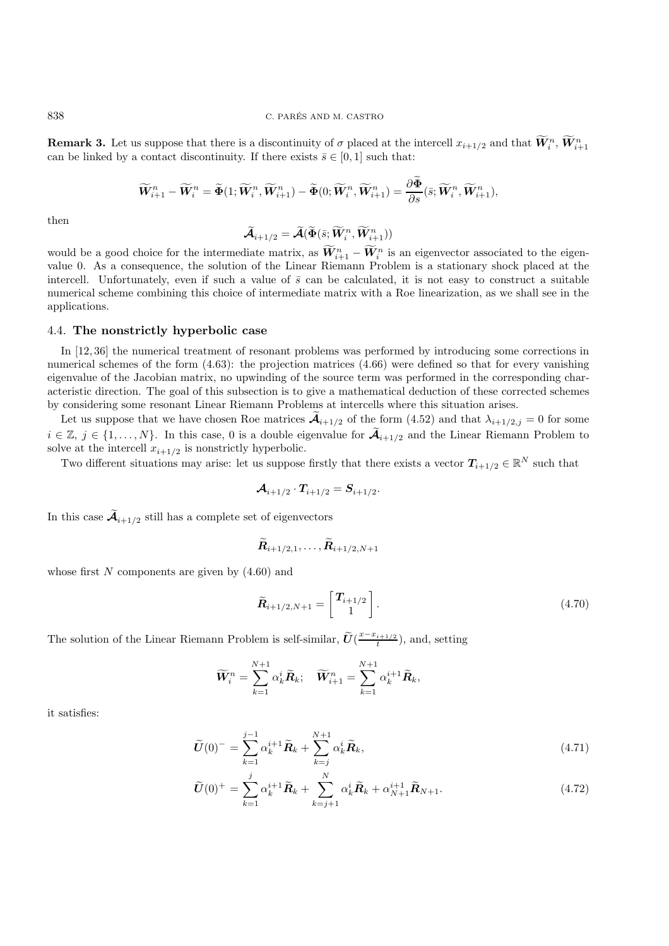**Remark 3.** Let us suppose that there is a discontinuity of  $\sigma$  placed at the intercell  $x_{i+1/2}$  and that  $\mathbf{W}_i^n$ ,  $\mathbf{W}_{i+1}^n$  can be linked by a contact discontinuity. If there exists  $\overline{s} \in [0, 1]$  such that: can be linked by a contact discontinuity. If there exists  $\bar{s} \in [0, 1]$  such that:

$$
\widetilde{\boldsymbol{W}}_{i+1}^{n}-\widetilde{\boldsymbol{W}}_{i}^{n}=\widetilde{\boldsymbol{\Phi}}(1;\widetilde{\boldsymbol{W}}_{i}^{n},\widetilde{\boldsymbol{W}}_{i+1}^{n})-\widetilde{\boldsymbol{\Phi}}(0;\widetilde{\boldsymbol{W}}_{i}^{n},\widetilde{\boldsymbol{W}}_{i+1}^{n})=\frac{\partial\boldsymbol{\Phi}}{\partial s}(\bar{s};\widetilde{\boldsymbol{W}}_{i}^{n},\widetilde{\boldsymbol{W}}_{i+1}^{n}),
$$

then

$$
\widetilde{\mathcal{A}}_{i+1/2} = \widetilde{\mathcal{A}}(\widetilde{\Phi}(\bar{s}; \widetilde{W}_i^n, \widetilde{W}_{i+1}^n))
$$

would be a good choice for the intermediate matrix, as  $W_{i+1}^n - W_i^n$  is an eigenvector associated to the eigen-<br>value 0. As a consequence, the solution of the Linear Biemann Problem is a stationary shock placed at the value 0. As a consequence, the solution of the Linear Riemann Problem is a stationary shock placed at the intercell. Unfortunately, even if such a value of  $\bar{s}$  can be calculated, it is not easy to construct a suitable numerical scheme combining this choice of intermediate matrix with a Roe linearization, as we shall see in the applications.

#### 4.4. **The nonstrictly hyperbolic case**

In [12, 36] the numerical treatment of resonant problems was performed by introducing some corrections in numerical schemes of the form  $(4.63)$ : the projection matrices  $(4.66)$  were defined so that for every vanishing eigenvalue of the Jacobian matrix, no upwinding of the source term was performed in the corresponding characteristic direction. The goal of this subsection is to give a mathematical deduction of these corrected schemes by considering some resonant Linear Riemann Problems at intercells where this situation arises.

Let us suppose that we have chosen Roe matrices  $A_{i+1/2}$  of the form (4.52) and that  $\lambda_{i+1/2,j} = 0$  for some  $i \in \mathbb{Z}, j \in \{1,\ldots,N\}$ . In this case, 0 is a double eigenvalue for  $\tilde{A}_{i+1/2}$  and the Linear Riemann Problem to solve at the intercell  $x_{i+1/2}$  is nonstrictly hyperbolic.

Two different situations may arise: let us suppose firstly that there exists a vector  $T_{i+1/2} \in \mathbb{R}^N$  such that

$$
\mathcal{A}_{i+1/2} \cdot T_{i+1/2} = S_{i+1/2}.
$$

In this case  $\widetilde{\mathcal{A}}_{i+1/2}$  still has a complete set of eigenvectors

$$
\widetilde{\boldsymbol{R}}_{i+1/2,1},\ldots,\widetilde{\boldsymbol{R}}_{i+1/2,N+1}
$$

whose first  $N$  components are given by  $(4.60)$  and

$$
\widetilde{\boldsymbol{R}}_{i+1/2,N+1} = \begin{bmatrix} T_{i+1/2} \\ 1 \end{bmatrix} . \tag{4.70}
$$

The solution of the Linear Riemann Problem is self-similar,  $\tilde{U}(\frac{x-x_{i+1/2}}{t})$ , and, setting

$$
\widetilde{\boldsymbol{W}}_{i}^{n} = \sum_{k=1}^{N+1} \alpha_k^{i} \widetilde{\boldsymbol{R}}_{k}; \quad \widetilde{\boldsymbol{W}}_{i+1}^{n} = \sum_{k=1}^{N+1} \alpha_k^{i+1} \widetilde{\boldsymbol{R}}_{k},
$$

it satisfies:

$$
\widetilde{U}(0)^{-} = \sum_{k=1}^{j-1} \alpha_k^{i+1} \widetilde{R}_k + \sum_{k=j}^{N+1} \alpha_k^i \widetilde{R}_k, \qquad (4.71)
$$

$$
\widetilde{U}(0)^{+} = \sum_{k=1}^{j} \alpha_k^{i+1} \widetilde{R}_k + \sum_{k=j+1}^{N} \alpha_k^{i} \widetilde{R}_k + \alpha_{N+1}^{i+1} \widetilde{R}_{N+1}.
$$
\n(4.72)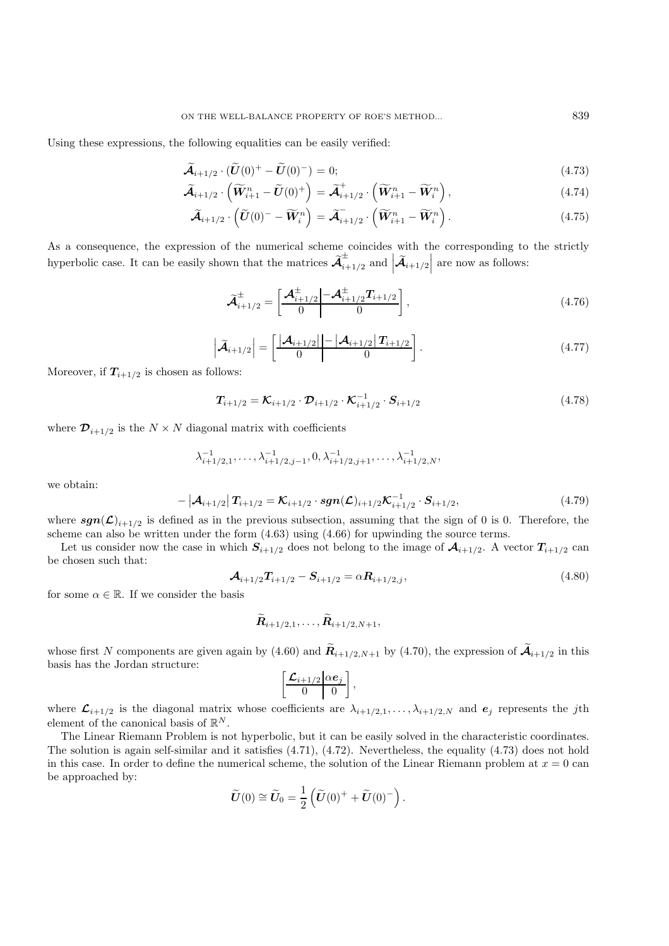Using these expressions, the following equalities can be easily verified:

$$
\widetilde{\mathcal{A}}_{i+1/2} \cdot (\widetilde{U}(0)^{+} - \widetilde{U}(0)^{-}) = 0; \tag{4.73}
$$

$$
\widetilde{\mathcal{A}}_{i+1/2} \cdot \left( \widetilde{\mathbf{W}}_{i+1}^{n} - \widetilde{\mathbf{U}}(0)^{+} \right) = \widetilde{\mathcal{A}}_{i+1/2}^{+} \cdot \left( \widetilde{\mathbf{W}}_{i+1}^{n} - \widetilde{\mathbf{W}}_{i}^{n} \right), \tag{4.74}
$$

$$
\widetilde{\mathcal{A}}_{i+1/2} \cdot \left( \widetilde{U}(0)^{-} - \widetilde{W}_{i}^{n} \right) = \widetilde{\mathcal{A}}_{i+1/2} \cdot \left( \widetilde{W}_{i+1}^{n} - \widetilde{W}_{i}^{n} \right). \tag{4.75}
$$

As a consequence, the expression of the numerical scheme coincides with the corresponding to the strictly hyperbolic case. It can be easily shown that the matrices  $\widetilde{\mathcal{A}}^\pm_{i+1/2}$  and  $\left| \widetilde{\mathcal{A}}_{i+1/2} \right|$  $\vert$  are now as follows:

$$
\widetilde{\mathcal{A}}_{i+1/2}^{\pm} = \left[ \frac{\mathcal{A}_{i+1/2}^{\pm} - \mathcal{A}_{i+1/2}^{\pm} T_{i+1/2}}{0} \right],
$$
\n(4.76)

$$
\left| \widetilde{\mathcal{A}}_{i+1/2} \right| = \left[ \frac{\left| \mathcal{A}_{i+1/2} \right| - \left| \mathcal{A}_{i+1/2} \right| T_{i+1/2}}{0} \right].
$$
\n(4.77)

Moreover, if  $T_{i+1/2}$  is chosen as follows:

$$
T_{i+1/2} = \mathcal{K}_{i+1/2} \cdot \mathcal{D}_{i+1/2} \cdot \mathcal{K}_{i+1/2}^{-1} \cdot S_{i+1/2}
$$
 (4.78)

where  $\mathcal{D}_{i+1/2}$  is the  $N \times N$  diagonal matrix with coefficients

$$
\lambda_{i+1/2,1}^{-1}, \ldots, \lambda_{i+1/2,j-1}^{-1}, 0, \lambda_{i+1/2,j+1}^{-1}, \ldots, \lambda_{i+1/2,N}^{-1},
$$

we obtain:

$$
-|\mathcal{A}_{i+1/2}|T_{i+1/2} = \mathcal{K}_{i+1/2} \cdot sgn(\mathcal{L})_{i+1/2}\mathcal{K}_{i+1/2}^{-1} \cdot S_{i+1/2},
$$
\n(4.79)

where  $sgn(\mathcal{L})_{i+1/2}$  is defined as in the previous subsection, assuming that the sign of 0 is 0. Therefore, the scheme can also be written under the form (4.63) using (4.66) for upwinding the source terms.

Let us consider now the case in which  $S_{i+1/2}$  does not belong to the image of  $\mathcal{A}_{i+1/2}$ . A vector  $T_{i+1/2}$  can be chosen such that:

$$
\mathcal{A}_{i+1/2}T_{i+1/2} - \mathcal{S}_{i+1/2} = \alpha \mathcal{R}_{i+1/2,j},
$$
\n(4.80)

for some  $\alpha \in \mathbb{R}$ . If we consider the basis

$$
\bm{R}_{i+1/2,1},\ldots,\bm{R}_{i+1/2,N+1},
$$

whose first N components are given again by (4.60) and  $\widetilde{R}_{i+1/2,N+1}$  by (4.70), the expression of  $\widetilde{A}_{i+1/2}$  in this basis has the Jordan structure:

$$
\left[\begin{array}{c|c}\mathcal{L}_{i+1/2} & \alpha e_j\\ \hline 0 & 0\end{array}\right],
$$

where  $\mathcal{L}_{i+1/2}$  is the diagonal matrix whose coefficients are  $\lambda_{i+1/2,1},\ldots,\lambda_{i+1/2,N}$  and  $e_j$  represents the jth element of the canonical basis of  $\mathbb{R}^N.$ 

The Linear Riemann Problem is not hyperbolic, but it can be easily solved in the characteristic coordinates. The solution is again self-similar and it satisfies (4.71), (4.72). Nevertheless, the equality (4.73) does not hold in this case. In order to define the numerical scheme, the solution of the Linear Riemann problem at  $x = 0$  can be approached by:

$$
\widetilde{\boldsymbol{U}}(0) \cong \widetilde{\boldsymbol{U}}_0 = \frac{1}{2} \left( \widetilde{\boldsymbol{U}}(0)^+ + \widetilde{\boldsymbol{U}}(0)^- \right).
$$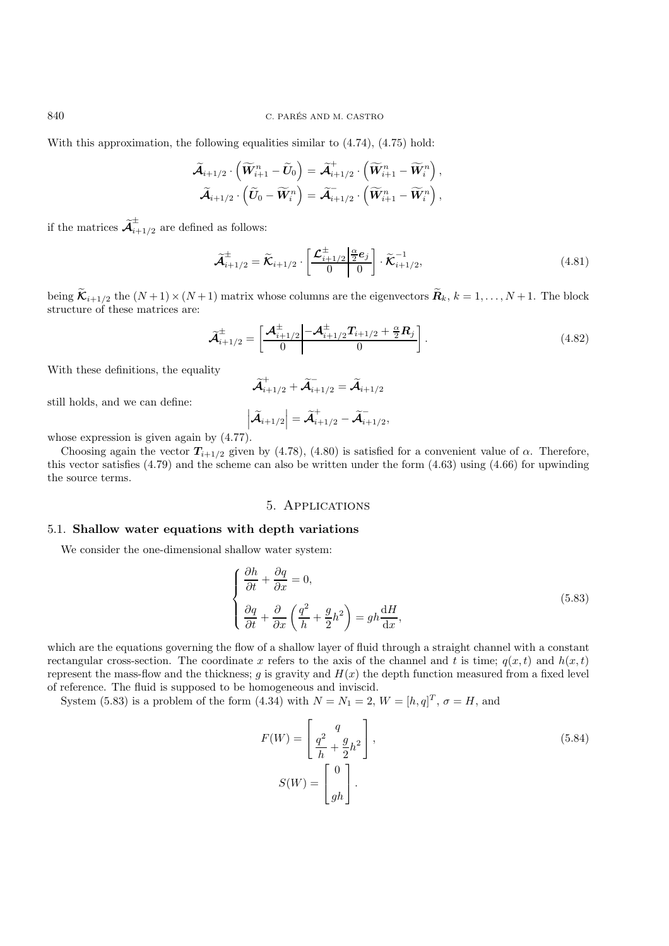840 C. PARES AND M. CASTRO ´

With this approximation, the following equalities similar to  $(4.74)$ ,  $(4.75)$  hold:

$$
\widetilde{\mathcal{A}}_{i+1/2}\cdot\left(\widetilde{W}_{i+1}^n-\widetilde{U}_0\right)=\widetilde{\mathcal{A}}_{i+1/2}^+\cdot\left(\widetilde{W}_{i+1}^n-\widetilde{W}_i^n\right),\\ \widetilde{\mathcal{A}}_{i+1/2}\cdot\left(\widetilde{U}_0-\widetilde{W}_i^n\right)=\widetilde{\mathcal{A}}_{i+1/2}^-\cdot\left(\widetilde{W}_{i+1}^n-\widetilde{W}_i^n\right),
$$

if the matrices  $\widetilde{\mathcal{A}}^{\pm}_{i+1/2}$  are defined as follows:

$$
\widetilde{\mathcal{A}}_{i+1/2}^{\pm} = \widetilde{\mathcal{K}}_{i+1/2} \cdot \left[ \frac{\mathcal{L}_{i+1/2}^{\pm} \left| \frac{\alpha}{2} e_j \right|}{0} \right] \cdot \widetilde{\mathcal{K}}_{i+1/2}^{-1}, \tag{4.81}
$$

being  $\widetilde{\mathcal{K}}_{i+1/2}$  the  $(N+1)\times(N+1)$  matrix whose columns are the eigenvectors  $\widetilde{\mathcal{R}}_k$ ,  $k=1,\ldots,N+1$ . The block structure of these matrices are:

$$
\widetilde{\mathcal{A}}_{i+1/2}^{\pm} = \left[ \frac{\mathcal{A}_{i+1/2}^{\pm} \left| -\mathcal{A}_{i+1/2}^{\pm} T_{i+1/2} + \frac{\alpha}{2} R_j \right|}{0} \right].
$$
\n(4.82)

With these definitions, the equality

$$
\widetilde{\mathcal{A}}_{i+1/2}^+ + \widetilde{\mathcal{A}}_{i+1/2}^- = \widetilde{\mathcal{A}}_{i+1/2}
$$

still holds, and we can define:

$$
\left|\widetilde{\mathcal{A}}_{i+1/2}\right|=\widetilde{\mathcal{A}}^+_{i+1/2}-\widetilde{\mathcal{A}}^-_{i+1/2},
$$

whose expression is given again by (4.77).

Choosing again the vector  $T_{i+1/2}$  given by (4.78), (4.80) is satisfied for a convenient value of  $\alpha$ . Therefore, this vector satisfies  $(4.79)$  and the scheme can also be written under the form  $(4.63)$  using  $(4.66)$  for upwinding the source terms.

# 5. Applications

#### 5.1. **Shallow water equations with depth variations**

We consider the one-dimensional shallow water system:

$$
\begin{cases}\n\frac{\partial h}{\partial t} + \frac{\partial q}{\partial x} = 0, \\
\frac{\partial q}{\partial t} + \frac{\partial}{\partial x} \left( \frac{q^2}{h} + \frac{g}{2} h^2 \right) = gh \frac{dH}{dx},\n\end{cases}
$$
\n(5.83)

which are the equations governing the flow of a shallow layer of fluid through a straight channel with a constant rectangular cross-section. The coordinate x refers to the axis of the channel and t is time;  $q(x, t)$  and  $h(x, t)$ represent the mass-flow and the thickness; g is gravity and  $H(x)$  the depth function measured from a fixed level of reference. The fluid is supposed to be homogeneous and inviscid.

System (5.83) is a problem of the form (4.34) with  $N = N_1 = 2$ ,  $W = [h, q]^T$ ,  $\sigma = H$ , and

$$
F(W) = \left[\frac{q^2}{h} + \frac{g}{2}h^2\right],
$$
  
\n
$$
S(W) = \left[\begin{array}{c} 0\\gh \end{array}\right].
$$
\n(5.84)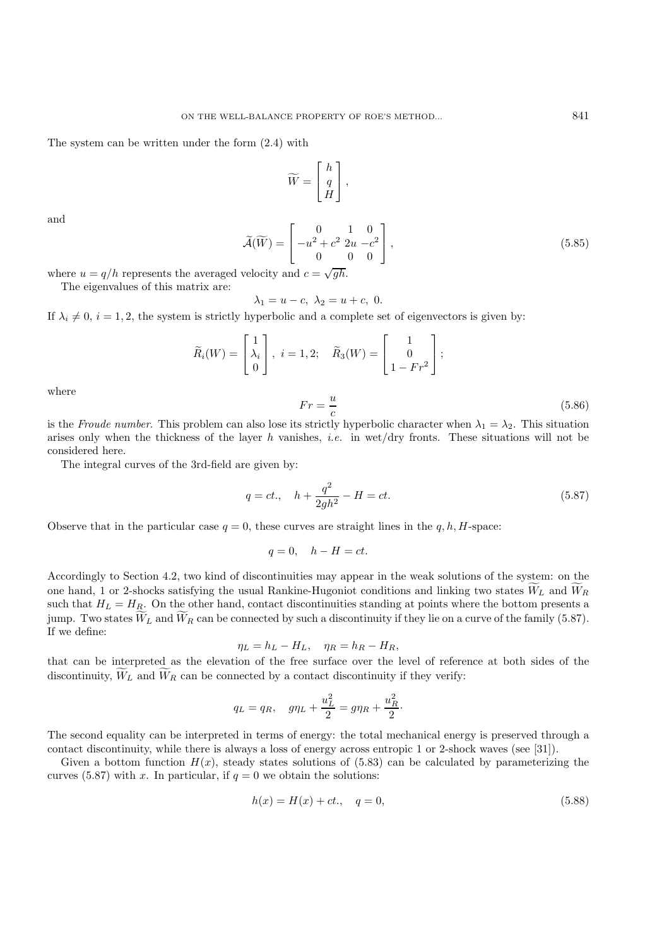The system can be written under the form (2.4) with

$$
\widetilde{W} = \begin{bmatrix} h \\ q \\ H \end{bmatrix},
$$

and

$$
\widetilde{\mathcal{A}}(\widetilde{W}) = \begin{bmatrix} 0 & 1 & 0 \\ -u^2 + c^2 & 2u - c^2 \\ 0 & 0 & 0 \end{bmatrix},
$$
\n(5.85)

where  $u = q/h$  represents the averaged velocity and  $c = \sqrt{gh}$ .

The eigenvalues of this matrix are:

$$
\lambda_1 = u - c, \ \lambda_2 = u + c, \ 0.
$$

If  $\lambda_i \neq 0$ ,  $i = 1, 2$ , the system is strictly hyperbolic and a complete set of eigenvectors is given by:

$$
\widetilde{R}_i(W) = \begin{bmatrix} 1 \\ \lambda_i \\ 0 \end{bmatrix}, \ i = 1, 2; \quad \widetilde{R}_3(W) = \begin{bmatrix} 1 \\ 0 \\ 1 - Fr^2 \end{bmatrix};
$$

where

$$
Fr = \frac{u}{c} \tag{5.86}
$$

is the *Froude number*. This problem can also lose its strictly hyperbolic character when  $\lambda_1 = \lambda_2$ . This situation arises only when the thickness of the layer h vanishes, *i.e.* in wet/dry fronts. These situations will not be considered here.

The integral curves of the 3rd-field are given by:

$$
q = ct., \quad h + \frac{q^2}{2gh^2} - H = ct.
$$
\n(5.87)

Observe that in the particular case  $q = 0$ , these curves are straight lines in the q, h, H-space:

$$
q = 0, \quad h - H = ct.
$$

Accordingly to Section 4.2, two kind of discontinuities may appear in the weak solutions of the system: on the one hand, 1 or 2-shocks satisfying the usual Rankine-Hugoniot conditions and linking two states  $W_L$  and  $W_R$ such that  $H_L = H_R$ . On the other hand, contact discontinuities standing at points where the bottom presents a jump. Two states  $W_L$  and  $W_R$  can be connected by such a discontinuity if they lie on a curve of the family (5.87). If we define:

$$
\eta_L = h_L - H_L, \quad \eta_R = h_R - H_R,
$$

that can be interpreted as the elevation of the free surface over the level of reference at both sides of the discontinuity,  $W_L$  and  $W_R$  can be connected by a contact discontinuity if they verify:

$$
q_L = q_R
$$
,  $g\eta_L + \frac{u_L^2}{2} = g\eta_R + \frac{u_R^2}{2}$ .

The second equality can be interpreted in terms of energy: the total mechanical energy is preserved through a contact discontinuity, while there is always a loss of energy across entropic 1 or 2-shock waves (see [31]).

Given a bottom function  $H(x)$ , steady states solutions of (5.83) can be calculated by parameterizing the curves (5.87) with x. In particular, if  $q = 0$  we obtain the solutions:

$$
h(x) = H(x) + ct., \quad q = 0,
$$
\n(5.88)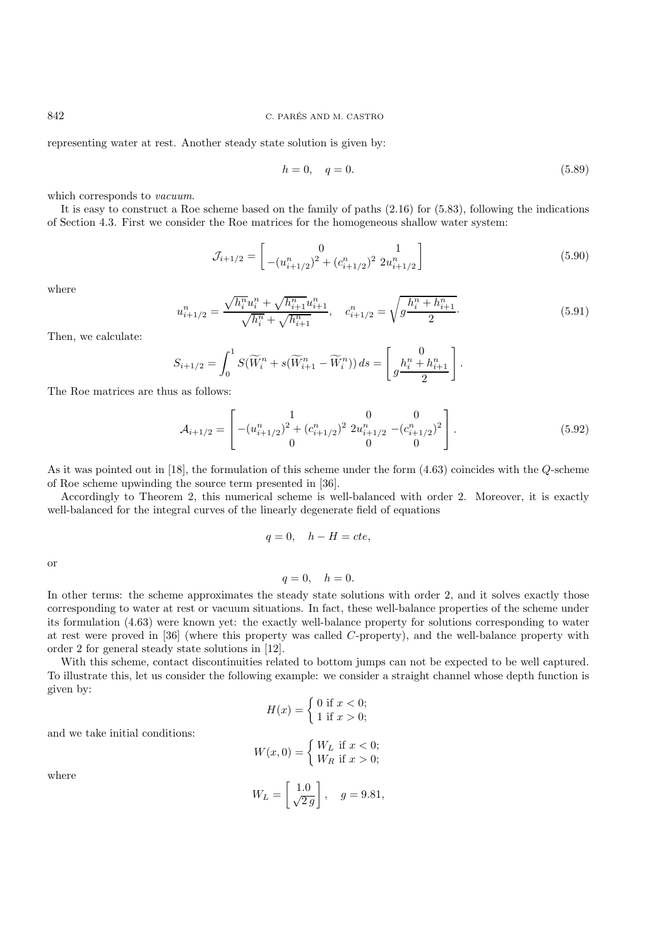representing water at rest. Another steady state solution is given by:

$$
h = 0, \quad q = 0. \tag{5.89}
$$

which corresponds to *vacuum*.

It is easy to construct a Roe scheme based on the family of paths (2.16) for (5.83), following the indications of Section 4.3. First we consider the Roe matrices for the homogeneous shallow water system:

$$
\mathcal{J}_{i+1/2} = \begin{bmatrix} 0 & 1\\ -(u_{i+1/2}^n)^2 + (c_{i+1/2}^n)^2 2u_{i+1/2}^n \end{bmatrix}
$$
(5.90)

where

$$
n_{i+1/2} = \frac{\sqrt{h_i^n} u_i^n + \sqrt{h_{i+1}^n} u_{i+1}^n}{\sqrt{h_i^n} + \sqrt{h_{i+1}^n}}, \quad c_{i+1/2}^n = \sqrt{g \frac{h_i^n + h_{i+1}^n}{2}}.
$$
\n(5.91)

Then, we calculate:

$$
S_{i+1/2} = \int_0^1 S(\widetilde{W}_i^n + s(\widetilde{W}_{i+1}^n - \widetilde{W}_i^n)) ds = \begin{bmatrix} 0 \\ g \frac{h_i^n + h_{i+1}^n}{2} \end{bmatrix}.
$$

The Roe matrices are thus as follows:

 $\overline{u}$ 

$$
\mathcal{A}_{i+1/2} = \begin{bmatrix} 1 & 0 & 0 \\ -(u_{i+1/2}^n)^2 + (c_{i+1/2}^n)^2 2u_{i+1/2}^n - (c_{i+1/2}^n)^2 \\ 0 & 0 & 0 \end{bmatrix} . \tag{5.92}
$$

As it was pointed out in [18], the formulation of this scheme under the form (4.63) coincides with the Q-scheme of Roe scheme upwinding the source term presented in [36].

Accordingly to Theorem 2, this numerical scheme is well-balanced with order 2. Moreover, it is exactly well-balanced for the integral curves of the linearly degenerate field of equations

$$
q = 0, \quad h - H = cte,
$$

or

 $q = 0, \quad h = 0.$ 

In other terms: the scheme approximates the steady state solutions with order 2, and it solves exactly those corresponding to water at rest or vacuum situations. In fact, these well-balance properties of the scheme under its formulation (4.63) were known yet: the exactly well-balance property for solutions corresponding to water at rest were proved in [36] (where this property was called C-property), and the well-balance property with order 2 for general steady state solutions in [12].

With this scheme, contact discontinuities related to bottom jumps can not be expected to be well captured. To illustrate this, let us consider the following example: we consider a straight channel whose depth function is given by:

$$
H(x) = \begin{cases} 0 \text{ if } x < 0; \\ 1 \text{ if } x > 0; \end{cases}
$$

and we take initial conditions:

$$
W(x,0) = \begin{cases} W_L \text{ if } x < 0; \\ W_R \text{ if } x > 0; \end{cases}
$$

where

$$
W_L = \begin{bmatrix} 1.0 \\ \sqrt{2g} \end{bmatrix}, \quad g = 9.81,
$$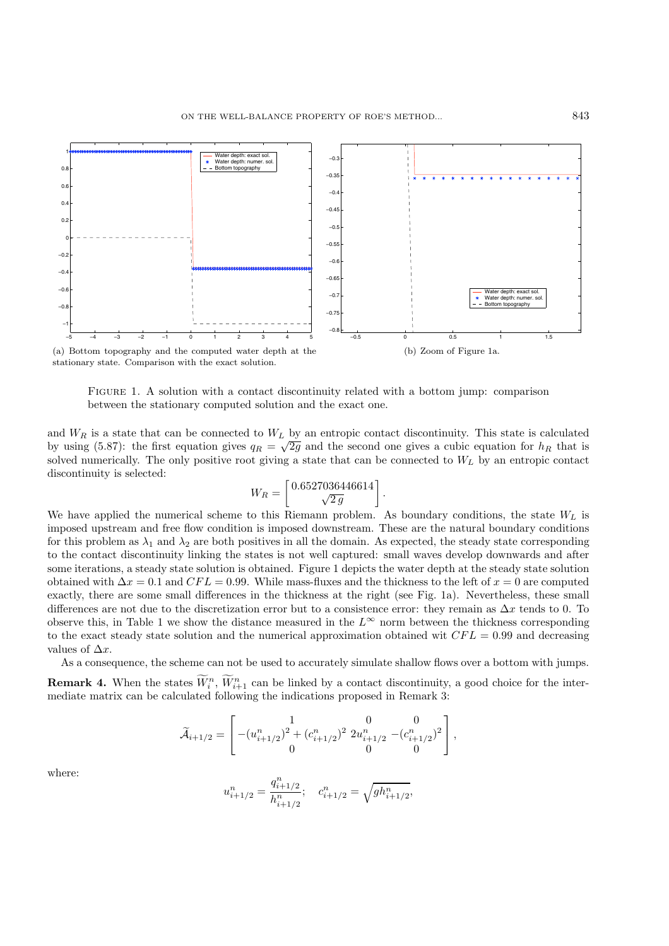

stationary state. Comparison with the exact solution.

Figure 1. A solution with a contact discontinuity related with a bottom jump: comparison between the stationary computed solution and the exact one.

and  $W_R$  is a state that can be connected to  $W_L$  by an entropic contact discontinuity. This state is calculated by using (5.87): the first equation gives  $q_R = \sqrt{2g}$  and the second one gives a cubic equation for  $h_R$  that is solved numerically. The only positive root giving a state that can be connected to  $W_L$  by an entropic contact discontinuity is selected:

$$
W_R=\left[\frac{0.6527036446614}{\sqrt{2\,g}}\right].
$$

We have applied the numerical scheme to this Riemann problem. As boundary conditions, the state  $W_L$  is imposed upstream and free flow condition is imposed downstream. These are the natural boundary conditions for this problem as  $\lambda_1$  and  $\lambda_2$  are both positives in all the domain. As expected, the steady state corresponding to the contact discontinuity linking the states is not well captured: small waves develop downwards and after some iterations, a steady state solution is obtained. Figure 1 depicts the water depth at the steady state solution obtained with  $\Delta x = 0.1$  and  $CFL = 0.99$ . While mass-fluxes and the thickness to the left of  $x = 0$  are computed exactly, there are some small differences in the thickness at the right (see Fig. 1a). Nevertheless, these small differences are not due to the discretization error but to a consistence error: they remain as  $\Delta x$  tends to 0. To observe this, in Table 1 we show the distance measured in the  $L^{\infty}$  norm between the thickness corresponding to the exact steady state solution and the numerical approximation obtained wit  $CFL = 0.99$  and decreasing values of  $\Delta x$ .

As a consequence, the scheme can not be used to accurately simulate shallow flows over a bottom with jumps.

**Remark 4.** When the states  $\overline{W}_i^n$ ,  $\overline{W}_{i+1}^n$  can be linked by a contact discontinuity, a good choice for the intermediate matrix can be calculated following the indications proposed in Remark 3:

$$
\widetilde{\mathcal{A}}_{i+1/2} = \begin{bmatrix} 1 & 0 & 0 \\ -(u_{i+1/2}^n)^2 + (c_{i+1/2}^n)^2 & 2u_{i+1/2}^n & -(c_{i+1/2}^n)^2 \\ 0 & 0 & 0 \end{bmatrix},
$$

where:

$$
u_{i+1/2}^n = \frac{q_{i+1/2}^n}{h_{i+1/2}^n}; \quad c_{i+1/2}^n = \sqrt{g h_{i+1/2}^n},
$$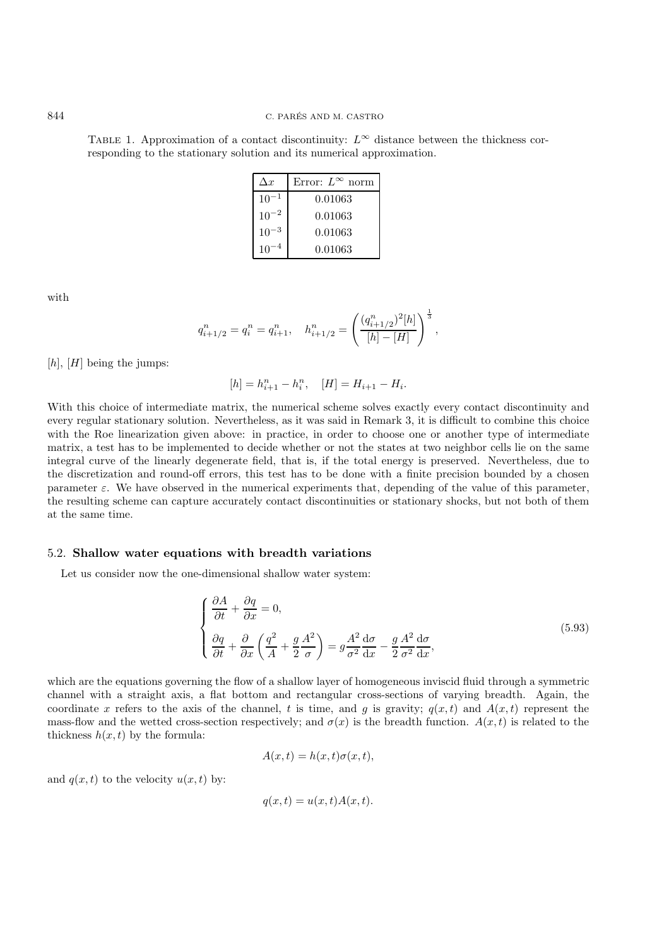TABLE 1. Approximation of a contact discontinuity:  $L^{\infty}$  distance between the thickness corresponding to the stationary solution and its numerical approximation.

| $\Delta x$      | Error: $L^{\infty}$ norm |
|-----------------|--------------------------|
| 10              | 0.01063                  |
| $10^{-2}$       | 0.01063                  |
| 10 <sup>°</sup> | 0.01063                  |
| 10              | 0.01063                  |

with

$$
q_{i+1/2}^n = q_i^n = q_{i+1}^n, \quad h_{i+1/2}^n = \left(\frac{(q_{i+1/2}^n)^2[h]}{[h] - [H]}\right)^{\frac{1}{3}},
$$

 $[h], [H]$  being the jumps:

$$
[h] = h_{i+1}^n - h_i^n, \quad [H] = H_{i+1} - H_i.
$$

With this choice of intermediate matrix, the numerical scheme solves exactly every contact discontinuity and every regular stationary solution. Nevertheless, as it was said in Remark 3, it is difficult to combine this choice with the Roe linearization given above: in practice, in order to choose one or another type of intermediate matrix, a test has to be implemented to decide whether or not the states at two neighbor cells lie on the same integral curve of the linearly degenerate field, that is, if the total energy is preserved. Nevertheless, due to the discretization and round-off errors, this test has to be done with a finite precision bounded by a chosen parameter  $\varepsilon$ . We have observed in the numerical experiments that, depending of the value of this parameter, the resulting scheme can capture accurately contact discontinuities or stationary shocks, but not both of them at the same time.

#### 5.2. **Shallow water equations with breadth variations**

Let us consider now the one-dimensional shallow water system:

$$
\begin{cases}\n\frac{\partial A}{\partial t} + \frac{\partial q}{\partial x} = 0, \\
\frac{\partial q}{\partial t} + \frac{\partial}{\partial x} \left( \frac{q^2}{A} + \frac{g}{2} \frac{A^2}{\sigma} \right) = g \frac{A^2}{\sigma^2} \frac{d\sigma}{dx} - \frac{g}{2} \frac{A^2}{\sigma^2} \frac{d\sigma}{dx},\n\end{cases} (5.93)
$$

which are the equations governing the flow of a shallow layer of homogeneous inviscid fluid through a symmetric channel with a straight axis, a flat bottom and rectangular cross-sections of varying breadth. Again, the coordinate x refers to the axis of the channel, t is time, and g is gravity;  $q(x, t)$  and  $A(x, t)$  represent the mass-flow and the wetted cross-section respectively; and  $\sigma(x)$  is the breadth function.  $A(x, t)$  is related to the thickness  $h(x, t)$  by the formula:

$$
A(x,t) = h(x,t)\sigma(x,t),
$$

and  $q(x, t)$  to the velocity  $u(x, t)$  by:

$$
q(x,t) = u(x,t)A(x,t).
$$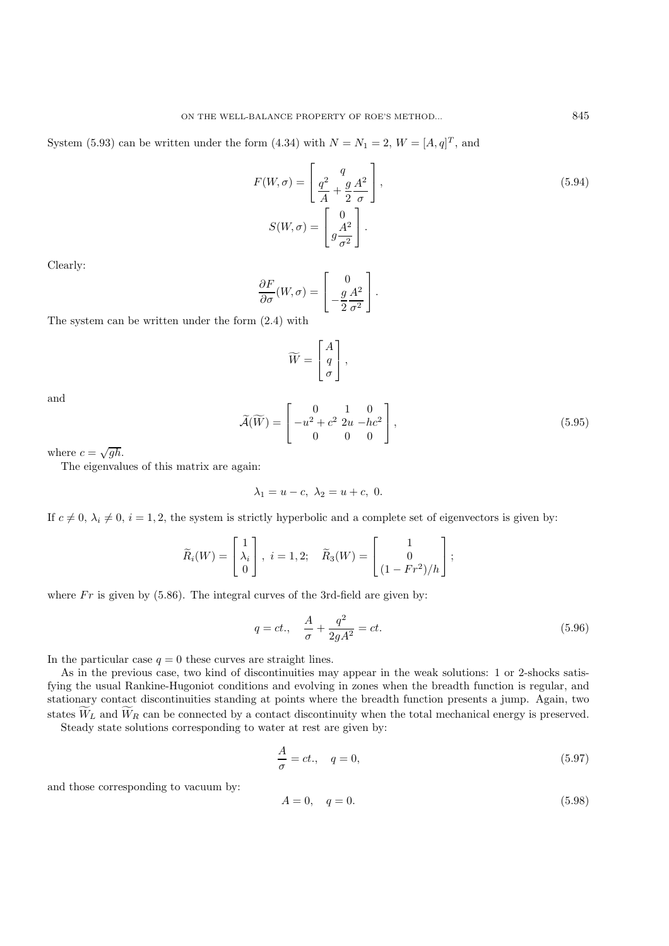System (5.93) can be written under the form (4.34) with  $N = N_1 = 2$ ,  $W = [A, q]^T$ , and

$$
F(W, \sigma) = \begin{bmatrix} q \\ \frac{q^2}{A} + \frac{g}{2} \frac{A^2}{\sigma} \end{bmatrix},
$$
  
\n
$$
S(W, \sigma) = \begin{bmatrix} 0 \\ g \frac{A^2}{\sigma^2} \end{bmatrix}.
$$
\n(5.94)

Clearly:

$$
\frac{\partial F}{\partial \sigma}(W,\sigma) = \begin{bmatrix} 0 \\ -\frac{g A^2}{2 \sigma^2} \end{bmatrix}.
$$

The system can be written under the form (2.4) with

$$
\widetilde{W} = \begin{bmatrix} A \\ q \\ \sigma \end{bmatrix},
$$

and

$$
\widetilde{\mathcal{A}}(\widetilde{W}) = \begin{bmatrix} 0 & 1 & 0 \\ -u^2 + c^2 & 2u - hc^2 \\ 0 & 0 & 0 \end{bmatrix},
$$
\n(5.95)

where  $c = \sqrt{gh}$ .

The eigenvalues of this matrix are again:

$$
\lambda_1 = u - c, \ \lambda_2 = u + c, \ 0.
$$

If  $c \neq 0$ ,  $\lambda_i \neq 0$ ,  $i = 1, 2$ , the system is strictly hyperbolic and a complete set of eigenvectors is given by:

$$
\widetilde{R}_i(W) = \begin{bmatrix} 1 \\ \lambda_i \\ 0 \end{bmatrix}, \ i = 1, 2; \quad \widetilde{R}_3(W) = \begin{bmatrix} 1 \\ 0 \\ (1 - Fr^2)/h \end{bmatrix};
$$

where  $Fr$  is given by (5.86). The integral curves of the 3rd-field are given by:

$$
q = ct., \quad \frac{A}{\sigma} + \frac{q^2}{2gA^2} = ct.
$$
\n(5.96)

In the particular case  $q = 0$  these curves are straight lines.

As in the previous case, two kind of discontinuities may appear in the weak solutions: 1 or 2-shocks satisfying the usual Rankine-Hugoniot conditions and evolving in zones when the breadth function is regular, and stationary contact discontinuities standing at points where the breadth function presents a jump. Again, two states  $W_L$  and  $W_R$  can be connected by a contact discontinuity when the total mechanical energy is preserved.

Steady state solutions corresponding to water at rest are given by:

$$
\frac{A}{\sigma} = ct., \quad q = 0,
$$
\n<sup>(5.97)</sup>

and those corresponding to vacuum by:

$$
A = 0, \quad q = 0. \tag{5.98}
$$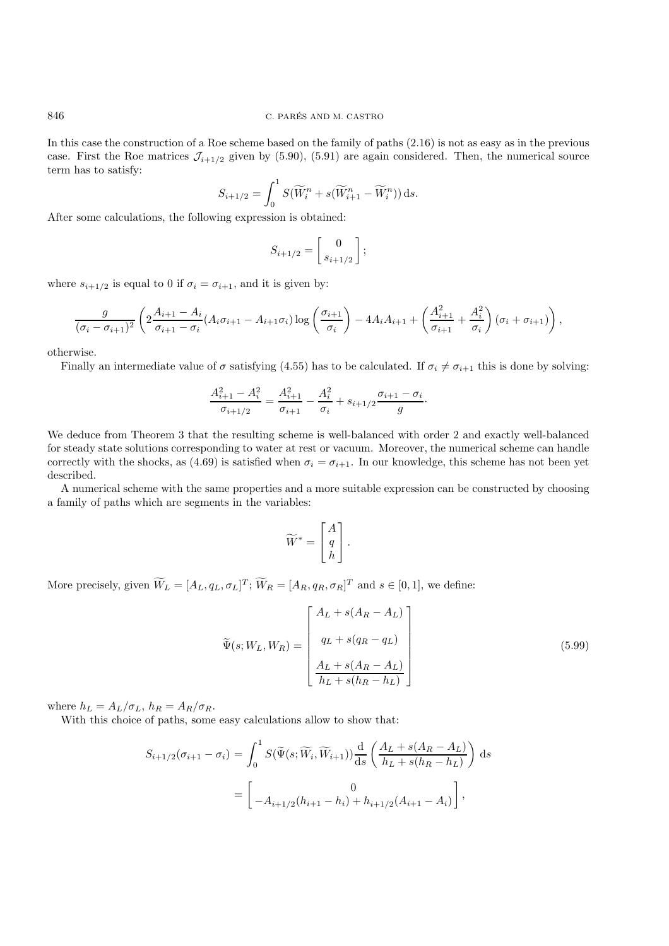In this case the construction of a Roe scheme based on the family of paths (2.16) is not as easy as in the previous case. First the Roe matrices  $\mathcal{J}_{i+1/2}$  given by (5.90), (5.91) are again considered. Then, the numerical source term has to satisfy:

$$
S_{i+1/2} = \int_0^1 S(\widetilde{W}_i^n + s(\widetilde{W}_{i+1}^n - \widetilde{W}_i^n)) \, ds.
$$

After some calculations, the following expression is obtained:

$$
S_{i+1/2} = \begin{bmatrix} 0 \\ s_{i+1/2} \end{bmatrix};
$$

where  $s_{i+1/2}$  is equal to 0 if  $\sigma_i = \sigma_{i+1}$ , and it is given by:

$$
\frac{g}{(\sigma_i - \sigma_{i+1})^2} \left( 2 \frac{A_{i+1} - A_i}{\sigma_{i+1} - \sigma_i} (A_i \sigma_{i+1} - A_{i+1} \sigma_i) \log \left( \frac{\sigma_{i+1}}{\sigma_i} \right) - 4 A_i A_{i+1} + \left( \frac{A_{i+1}^2}{\sigma_{i+1}} + \frac{A_i^2}{\sigma_i} \right) (\sigma_i + \sigma_{i+1}) \right),
$$

otherwise.

Finally an intermediate value of  $\sigma$  satisfying (4.55) has to be calculated. If  $\sigma_i \neq \sigma_{i+1}$  this is done by solving:

$$
\frac{A_{i+1}^2 - A_i^2}{\sigma_{i+1/2}} = \frac{A_{i+1}^2}{\sigma_{i+1}} - \frac{A_i^2}{\sigma_i} + s_{i+1/2} \frac{\sigma_{i+1} - \sigma_i}{g}.
$$

We deduce from Theorem 3 that the resulting scheme is well-balanced with order 2 and exactly well-balanced for steady state solutions corresponding to water at rest or vacuum. Moreover, the numerical scheme can handle correctly with the shocks, as (4.69) is satisfied when  $\sigma_i = \sigma_{i+1}$ . In our knowledge, this scheme has not been yet described.

A numerical scheme with the same properties and a more suitable expression can be constructed by choosing a family of paths which are segments in the variables:

$$
\widetilde{W}^* = \begin{bmatrix} A \\ q \\ h \end{bmatrix}.
$$

More precisely, given  $W_L = [A_L, q_L, \sigma_L]^T$ ;  $W_R = [A_R, q_R, \sigma_R]^T$  and  $s \in [0, 1]$ , we define:

$$
\widetilde{\Psi}(s;W_L,W_R) = \begin{bmatrix} A_L + s(A_R - A_L) \\ q_L + s(q_R - q_L) \\ \frac{A_L + s(A_R - A_L)}{h_L + s(h_R - h_L)} \end{bmatrix}
$$
\n(5.99)

where  $h_L = A_L/\sigma_L$ ,  $h_R = A_R/\sigma_R$ .

With this choice of paths, some easy calculations allow to show that:

$$
S_{i+1/2}(\sigma_{i+1} - \sigma_i) = \int_0^1 S(\widetilde{\Psi}(s; \widetilde{W}_i, \widetilde{W}_{i+1})) \frac{d}{ds} \left( \frac{A_L + s(A_R - A_L)}{h_L + s(h_R - h_L)} \right) ds
$$
  
= 
$$
\begin{bmatrix} 0 \\ -A_{i+1/2}(h_{i+1} - h_i) + h_{i+1/2}(A_{i+1} - A_i) \end{bmatrix},
$$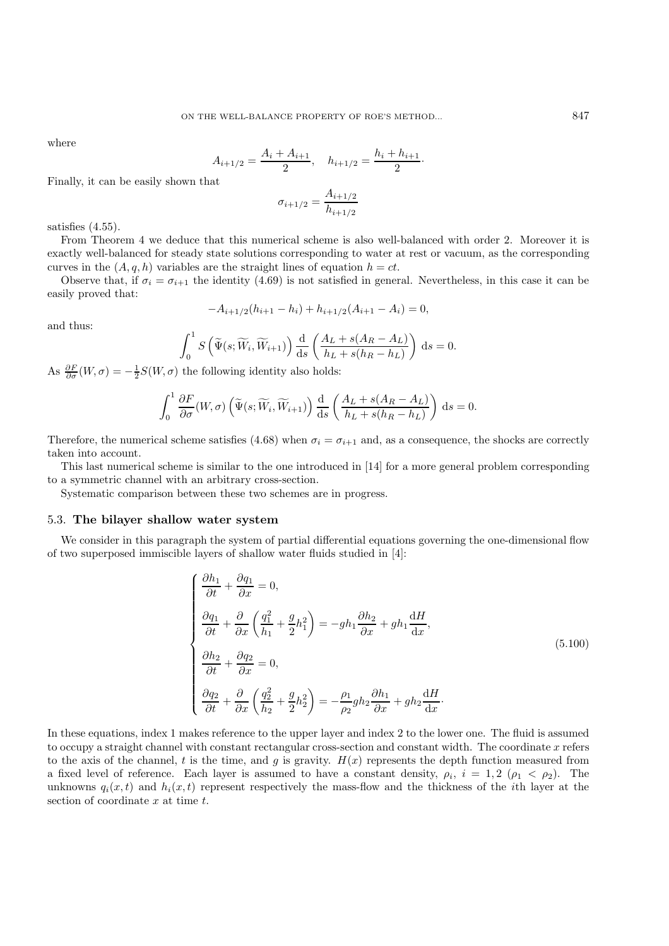where

$$
A_{i+1/2} = \frac{A_i + A_{i+1}}{2}, \quad h_{i+1/2} = \frac{h_i + h_{i+1}}{2}.
$$

Finally, it can be easily shown that

$$
\sigma_{i+1/2} = \frac{A_{i+1/2}}{h_{i+1/2}}
$$

satisfies  $(4.55)$ .

From Theorem 4 we deduce that this numerical scheme is also well-balanced with order 2. Moreover it is exactly well-balanced for steady state solutions corresponding to water at rest or vacuum, as the corresponding curves in the  $(A, q, h)$  variables are the straight lines of equation  $h = ct$ .

Observe that, if  $\sigma_i = \sigma_{i+1}$  the identity (4.69) is not satisfied in general. Nevertheless, in this case it can be easily proved that:

$$
-A_{i+1/2}(h_{i+1}-h_i)+h_{i+1/2}(A_{i+1}-A_i)=0,
$$

and thus:

$$
\int_0^1 S\left(\widetilde{\Psi}(s; \widetilde{W}_i, \widetilde{W}_{i+1})\right) \frac{d}{ds} \left(\frac{A_L + s(A_R - A_L)}{h_L + s(h_R - h_L)}\right) ds = 0.
$$

As  $\frac{\partial F}{\partial \sigma}(W,\sigma) = -\frac{1}{2}S(W,\sigma)$  the following identity also holds:

$$
\int_0^1 \frac{\partial F}{\partial \sigma}(W, \sigma) \left( \widetilde{\Psi}(s; \widetilde{W}_i, \widetilde{W}_{i+1}) \right) \frac{\mathrm{d}}{\mathrm{d}s} \left( \frac{A_L + s(A_R - A_L)}{h_L + s(h_R - h_L)} \right) \mathrm{d}s = 0.
$$

Therefore, the numerical scheme satisfies (4.68) when  $\sigma_i = \sigma_{i+1}$  and, as a consequence, the shocks are correctly taken into account.

This last numerical scheme is similar to the one introduced in [14] for a more general problem corresponding to a symmetric channel with an arbitrary cross-section.

Systematic comparison between these two schemes are in progress.

#### 5.3. **The bilayer shallow water system**

We consider in this paragraph the system of partial differential equations governing the one-dimensional flow of two superposed immiscible layers of shallow water fluids studied in [4]:

$$
\begin{cases}\n\frac{\partial h_1}{\partial t} + \frac{\partial q_1}{\partial x} = 0, \\
\frac{\partial q_1}{\partial t} + \frac{\partial}{\partial x} \left( \frac{q_1^2}{h_1} + \frac{g}{2} h_1^2 \right) = -gh_1 \frac{\partial h_2}{\partial x} + gh_1 \frac{dH}{dx}, \\
\frac{\partial h_2}{\partial t} + \frac{\partial q_2}{\partial x} = 0, \\
\frac{\partial q_2}{\partial t} + \frac{\partial}{\partial x} \left( \frac{q_2^2}{h_2} + \frac{g}{2} h_2^2 \right) = -\frac{\rho_1}{\rho_2} gh_2 \frac{\partial h_1}{\partial x} + gh_2 \frac{dH}{dx}.\n\end{cases} (5.100)
$$

In these equations, index 1 makes reference to the upper layer and index 2 to the lower one. The fluid is assumed to occupy a straight channel with constant rectangular cross-section and constant width. The coordinate  $x$  refers to the axis of the channel, t is the time, and g is gravity.  $H(x)$  represents the depth function measured from a fixed level of reference. Each layer is assumed to have a constant density,  $\rho_i$ ,  $i = 1, 2$  ( $\rho_1 < \rho_2$ ). The unknowns  $q_i(x, t)$  and  $h_i(x, t)$  represent respectively the mass-flow and the thickness of the *i*th layer at the section of coordinate  $x$  at time  $t$ .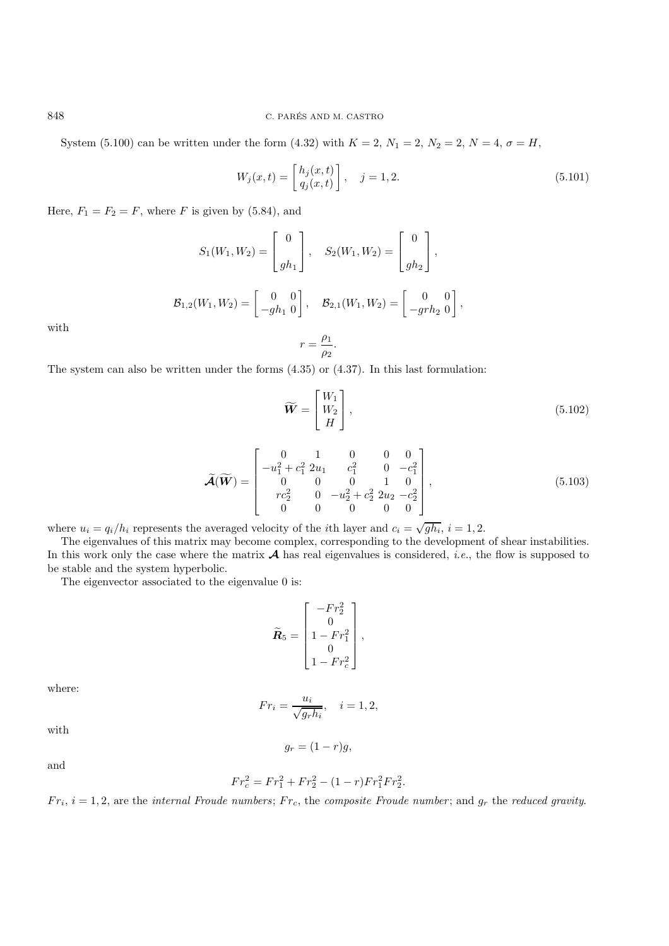System (5.100) can be written under the form (4.32) with  $K = 2$ ,  $N_1 = 2$ ,  $N_2 = 2$ ,  $N = 4$ ,  $\sigma = H$ ,

$$
W_j(x,t) = \begin{bmatrix} h_j(x,t) \\ q_j(x,t) \end{bmatrix}, \quad j = 1,2.
$$
\n
$$
(5.101)
$$

Here,  $F_1 = F_2 = F$ , where F is given by (5.84), and

$$
S_1(W_1, W_2) = \begin{bmatrix} 0 \\ gh_1 \end{bmatrix}, \quad S_2(W_1, W_2) = \begin{bmatrix} 0 \\ gh_2 \end{bmatrix},
$$
  

$$
\mathcal{B}_{1,2}(W_1, W_2) = \begin{bmatrix} 0 & 0 \\ -gh_1 & 0 \end{bmatrix}, \quad \mathcal{B}_{2,1}(W_1, W_2) = \begin{bmatrix} 0 & 0 \\ -grh_2 & 0 \end{bmatrix},
$$
  

$$
r = \frac{\rho_1}{\rho_2}.
$$

with

The system can also be written under the forms (4.35) or (4.37). In this last formulation:

$$
\widetilde{\boldsymbol{W}} = \begin{bmatrix} W_1 \\ W_2 \\ H \end{bmatrix}, \tag{5.102}
$$

$$
\widetilde{\mathcal{A}}(\widetilde{\mathbf{W}}) = \begin{bmatrix} 0 & 1 & 0 & 0 & 0 \\ -u_1^2 + c_1^2 & 2u_1 & c_1^2 & 0 & -c_1^2 \\ 0 & 0 & 0 & 1 & 0 \\ rc_2^2 & 0 & -u_2^2 + c_2^2 & 2u_2 & -c_2^2 \\ 0 & 0 & 0 & 0 & 0 \end{bmatrix},
$$
(5.103)

where  $u_i = q_i/h_i$  represents the averaged velocity of the *i*th layer and  $c_i = \sqrt{gh_i}$ ,  $i = 1, 2$ .

The eigenvalues of this matrix may become complex, corresponding to the development of shear instabilities. In this work only the case where the matrix  $\mathcal A$  has real eigenvalues is considered, *i.e.*, the flow is supposed to be stable and the system hyperbolic.

The eigenvector associated to the eigenvalue 0 is:

$$
\widetilde{\mathbf{R}}_5 = \begin{bmatrix} -F r_2^2 \\ 0 \\ 1 - Fr_1^2 \\ 0 \\ 1 - Fr_c^2 \end{bmatrix},
$$

where:

$$
Fr_i=\frac{u_i}{\sqrt{g_rh_i}},\quad i=1,2,
$$

with

$$
g_r = (1 - r)g,
$$

and

$$
Fr_c^2 = Fr_1^2 + Fr_2^2 - (1 - r) Fr_1^2 Fr_2^2.
$$

 $Fr_i$ ,  $i = 1, 2$ , are the *internal Froude numbers*;  $Fr_c$ , the *composite Froude number*; and  $g_r$  the *reduced gravity*.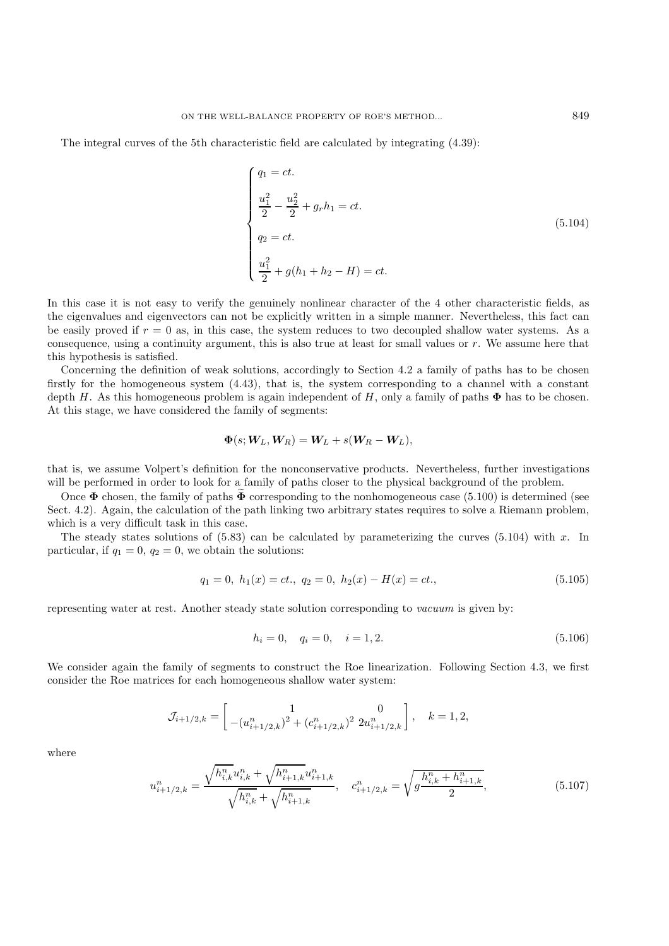The integral curves of the 5th characteristic field are calculated by integrating (4.39):

$$
\begin{cases}\nq_1 = ct.\n\frac{u_1^2}{2} - \frac{u_2^2}{2} + g_r h_1 = ct.\n q_2 = ct.\n\frac{u_1^2}{2} + g(h_1 + h_2 - H) = ct.\n\end{cases}
$$
\n(5.104)

In this case it is not easy to verify the genuinely nonlinear character of the 4 other characteristic fields, as the eigenvalues and eigenvectors can not be explicitly written in a simple manner. Nevertheless, this fact can be easily proved if  $r = 0$  as, in this case, the system reduces to two decoupled shallow water systems. As a consequence, using a continuity argument, this is also true at least for small values or r. We assume here that this hypothesis is satisfied.

Concerning the definition of weak solutions, accordingly to Section 4.2 a family of paths has to be chosen firstly for the homogeneous system (4.43), that is, the system corresponding to a channel with a constant depth H. As this homogeneous problem is again independent of H, only a family of paths  $\Phi$  has to be chosen. At this stage, we have considered the family of segments:

$$
\mathbf{\Phi}(s;\boldsymbol{W}_L,\boldsymbol{W}_R)=\boldsymbol{W}_L+s(\boldsymbol{W}_R-\boldsymbol{W}_L),
$$

that is, we assume Volpert's definition for the nonconservative products. Nevertheless, further investigations will be performed in order to look for a family of paths closer to the physical background of the problem.

Once  $\Phi$  chosen, the family of paths  $\tilde{\Phi}$  corresponding to the nonhomogeneous case (5.100) is determined (see Sect. 4.2). Again, the calculation of the path linking two arbitrary states requires to solve a Riemann problem, which is a very difficult task in this case.

The steady states solutions of  $(5.83)$  can be calculated by parameterizing the curves  $(5.104)$  with x. In particular, if  $q_1 = 0$ ,  $q_2 = 0$ , we obtain the solutions:

$$
q_1 = 0, h_1(x) = ct., q_2 = 0, h_2(x) - H(x) = ct.,
$$
\n(5.105)

representing water at rest. Another steady state solution corresponding to *vacuum* is given by:

$$
h_i = 0, \quad q_i = 0, \quad i = 1, 2. \tag{5.106}
$$

We consider again the family of segments to construct the Roe linearization. Following Section 4.3, we first consider the Roe matrices for each homogeneous shallow water system:

$$
\mathcal{J}_{i+1/2,k} = \begin{bmatrix} 1 & 0 \\ -(u_{i+1/2,k}^n)^2 + (c_{i+1/2,k}^n)^2 2u_{i+1/2,k}^n \end{bmatrix}, \quad k = 1, 2,
$$

where

$$
u_{i+1/2,k}^n = \frac{\sqrt{h_{i,k}^n} u_{i,k}^n + \sqrt{h_{i+1,k}^n} u_{i+1,k}^n}{\sqrt{h_{i,k}^n} + \sqrt{h_{i+1,k}^n}}, \quad c_{i+1/2,k}^n = \sqrt{g \frac{h_{i,k}^n + h_{i+1,k}^n}{2}}, \tag{5.107}
$$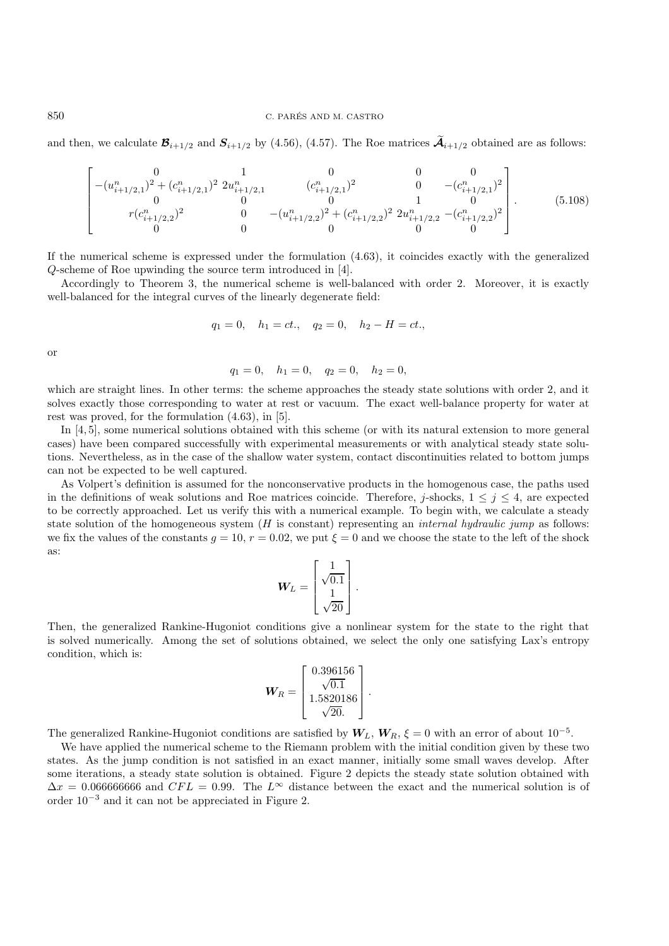#### 850 C. PARES AND M. CASTRO ´

and then, we calculate  $\mathcal{B}_{i+1/2}$  and  $S_{i+1/2}$  by (4.56), (4.57). The Roe matrices  $\widetilde{\mathcal{A}}_{i+1/2}$  obtained are as follows:

$$
\begin{bmatrix}\n0 & 1 & 0 & 0 & 0 \\
-(u_{i+1/2,1}^n)^2 + (c_{i+1/2,1}^n)^2 & 2u_{i+1/2,1}^n & (c_{i+1/2,1}^n)^2 & 0 & -(c_{i+1/2,1}^n)^2 \\
0 & 0 & 0 & 0 & 1 & 0 \\
r(c_{i+1/2,2}^n)^2 & 0 & -(u_{i+1/2,2}^n)^2 + (c_{i+1/2,2}^n)^2 & 2u_{i+1/2,2}^n - (c_{i+1/2,2}^n)^2 \\
0 & 0 & 0 & 0 & 0\n\end{bmatrix}.
$$
\n(5.108)

If the numerical scheme is expressed under the formulation (4.63), it coincides exactly with the generalized Q-scheme of Roe upwinding the source term introduced in [4].

Accordingly to Theorem 3, the numerical scheme is well-balanced with order 2. Moreover, it is exactly well-balanced for the integral curves of the linearly degenerate field:

$$
q_1 = 0
$$
,  $h_1 = ct$ ,  $q_2 = 0$ ,  $h_2 - H = ct$ .

or

$$
q_1 = 0
$$
,  $h_1 = 0$ ,  $q_2 = 0$ ,  $h_2 = 0$ ,

which are straight lines. In other terms: the scheme approaches the steady state solutions with order 2, and it solves exactly those corresponding to water at rest or vacuum. The exact well-balance property for water at rest was proved, for the formulation (4.63), in [5].

In [4, 5], some numerical solutions obtained with this scheme (or with its natural extension to more general cases) have been compared successfully with experimental measurements or with analytical steady state solutions. Nevertheless, as in the case of the shallow water system, contact discontinuities related to bottom jumps can not be expected to be well captured.

As Volpert's definition is assumed for the nonconservative products in the homogenous case, the paths used in the definitions of weak solutions and Roe matrices coincide. Therefore, j-shocks,  $1 \leq j \leq 4$ , are expected to be correctly approached. Let us verify this with a numerical example. To begin with, we calculate a steady state solution of the homogeneous system (H is constant) representing an *internal hydraulic jump* as follows: we fix the values of the constants  $g = 10$ ,  $r = 0.02$ , we put  $\xi = 0$  and we choose the state to the left of the shock as:

$$
\boldsymbol{W}_L = \begin{bmatrix} 1 \\ \sqrt{0.1} \\ 1 \\ \sqrt{20} \end{bmatrix}.
$$

Then, the generalized Rankine-Hugoniot conditions give a nonlinear system for the state to the right that is solved numerically. Among the set of solutions obtained, we select the only one satisfying Lax's entropy condition, which is:

$$
\boldsymbol{W}_{R} = \begin{bmatrix} 0.396156 \\ \sqrt{0.1} \\ 1.5820186 \\ \sqrt{20} \end{bmatrix}.
$$

The generalized Rankine-Hugoniot conditions are satisfied by  $W_L$ ,  $W_R$ ,  $\xi = 0$  with an error of about 10<sup>-5</sup>.

We have applied the numerical scheme to the Riemann problem with the initial condition given by these two states. As the jump condition is not satisfied in an exact manner, initially some small waves develop. After some iterations, a steady state solution is obtained. Figure 2 depicts the steady state solution obtained with  $\Delta x = 0.066666666$  and  $CFL = 0.99$ . The  $L^{\infty}$  distance between the exact and the numerical solution is of order 10−<sup>3</sup> and it can not be appreciated in Figure 2.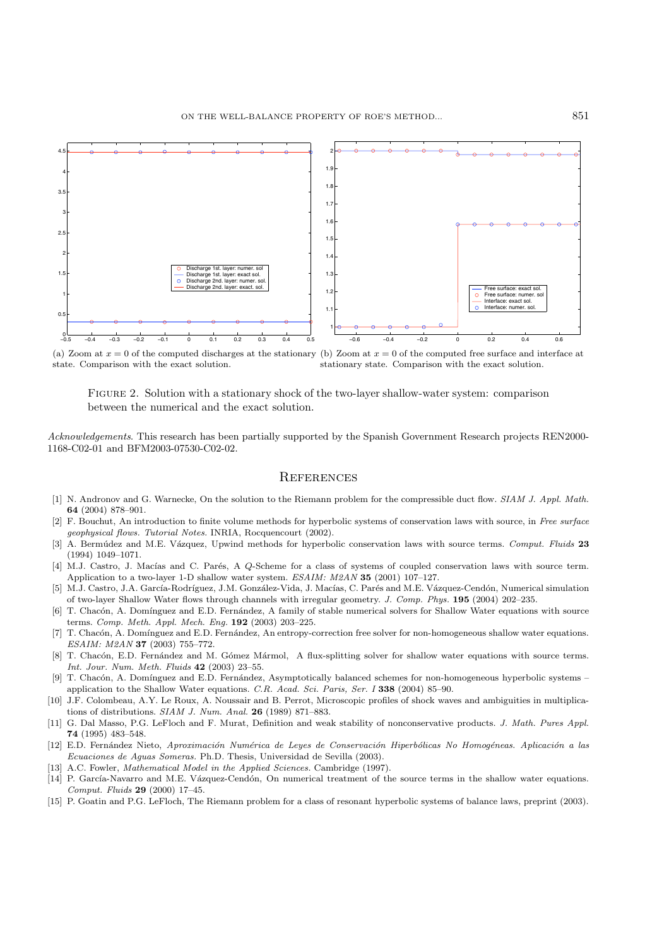

(a) Zoom at  $x = 0$  of the computed discharges at the stationary (b) Zoom at  $x = 0$  of the computed free surface and interface at state. Comparison with the exact solution. stationary state. Comparison with the exact solution.

Figure 2. Solution with a stationary shock of the two-layer shallow-water system: comparison between the numerical and the exact solution.

*Acknowledgements*. This research has been partially supported by the Spanish Government Research projects REN2000- 1168-C02-01 and BFM2003-07530-C02-02.

#### **REFERENCES**

- [1] N. Andronov and G. Warnecke, On the solution to the Riemann problem for the compressible duct flow. SIAM J. Appl. Math. **64** (2004) 878–901.
- [2] F. Bouchut, An introduction to finite volume methods for hyperbolic systems of conservation laws with source, in Free surface geophysical flows. Tutorial Notes. INRIA, Rocquencourt (2002).
- [3] A. Berm´udez and M.E. V´azquez, Upwind methods for hyperbolic conservation laws with source terms. Comput. Fluids **23** (1994) 1049–1071.
- [4] M.J. Castro, J. Macías and C. Parés, A *Q*-Scheme for a class of systems of coupled conservation laws with source term. Application to a two-layer 1-D shallow water system. ESAIM: M2AN **35** (2001) 107–127.
- [5] M.J. Castro, J.A. García-Rodríguez, J.M. González-Vida, J. Macías, C. Parés and M.E. Vázquez-Cendón, Numerical simulation of two-layer Shallow Water flows through channels with irregular geometry. J. Comp. Phys. **195** (2004) 202–235.
- T. Chacón, A. Domínguez and E.D. Fernández, A family of stable numerical solvers for Shallow Water equations with source terms. Comp. Meth. Appl. Mech. Eng. **192** (2003) 203–225.
- [7] T. Chacón, A. Domínguez and E.D. Fernández, An entropy-correction free solver for non-homogeneous shallow water equations. ESAIM: M2AN **37** (2003) 755–772.
- [8] T. Chacón, E.D. Fernández and M. Gómez Mármol, A flux-splitting solver for shallow water equations with source terms. Int. Jour. Num. Meth. Fluids **42** (2003) 23–55.
- [9] T. Chacón, A. Domínguez and E.D. Fernández, Asymptotically balanced schemes for non-homogeneous hyperbolic systems application to the Shallow Water equations. C.R. Acad. Sci. Paris, Ser. I **338** (2004) 85–90.
- [10] J.F. Colombeau, A.Y. Le Roux, A. Noussair and B. Perrot, Microscopic profiles of shock waves and ambiguities in multiplications of distributions. SIAM J. Num. Anal. **26** (1989) 871–883.
- [11] G. Dal Masso, P.G. LeFloch and F. Murat, Definition and weak stability of nonconservative products. J. Math. Pures Appl. **74** (1995) 483–548.
- [12] E.D. Fernández Nieto, Aproximación Numérica de Leyes de Conservación Hiperbólicas No Homogéneas. Aplicación a las Ecuaciones de Aguas Someras. Ph.D. Thesis, Universidad de Sevilla (2003).
- [13] A.C. Fowler, *Mathematical Model in the Applied Sciences*. Cambridge (1997).
- [14] P. García-Navarro and M.E. Vázquez-Cendón, On numerical treatment of the source terms in the shallow water equations. Comput. Fluids **29** (2000) 17–45.
- [15] P. Goatin and P.G. LeFloch, The Riemann problem for a class of resonant hyperbolic systems of balance laws, preprint (2003).